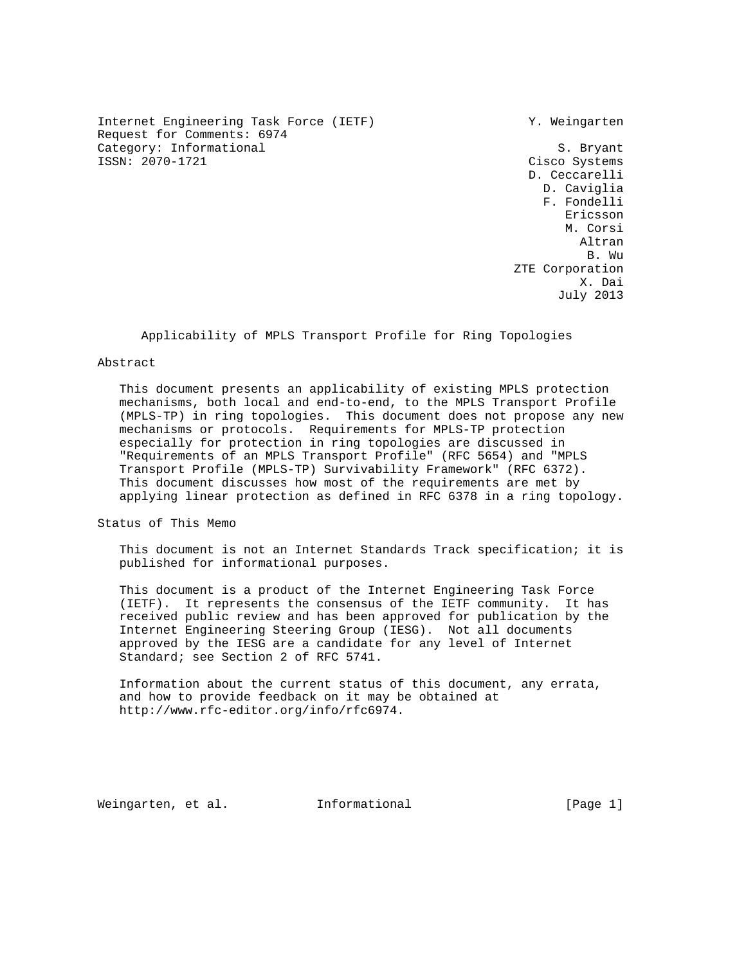Internet Engineering Task Force (IETF) Y. Weingarten Request for Comments: 6974 Category: Informational S. Bryant<br>
ISSN: 2070-1721 Cisco Systems

Cisco Systems D. Ceccarelli D. Caviglia F. Fondelli eric and the contract of the contract of the contract of the contract of the contract of the contract of the contract of the contract of the contract of the contract of the contract of the contract of the contract of the c M. Corsi Altran B. Wu ZTE Corporation X. Dai July 2013

# Applicability of MPLS Transport Profile for Ring Topologies

#### Abstract

 This document presents an applicability of existing MPLS protection mechanisms, both local and end-to-end, to the MPLS Transport Profile (MPLS-TP) in ring topologies. This document does not propose any new mechanisms or protocols. Requirements for MPLS-TP protection especially for protection in ring topologies are discussed in "Requirements of an MPLS Transport Profile" (RFC 5654) and "MPLS Transport Profile (MPLS-TP) Survivability Framework" (RFC 6372). This document discusses how most of the requirements are met by applying linear protection as defined in RFC 6378 in a ring topology.

Status of This Memo

 This document is not an Internet Standards Track specification; it is published for informational purposes.

 This document is a product of the Internet Engineering Task Force (IETF). It represents the consensus of the IETF community. It has received public review and has been approved for publication by the Internet Engineering Steering Group (IESG). Not all documents approved by the IESG are a candidate for any level of Internet Standard; see Section 2 of RFC 5741.

 Information about the current status of this document, any errata, and how to provide feedback on it may be obtained at http://www.rfc-editor.org/info/rfc6974.

Weingarten, et al. Informational [Page 1]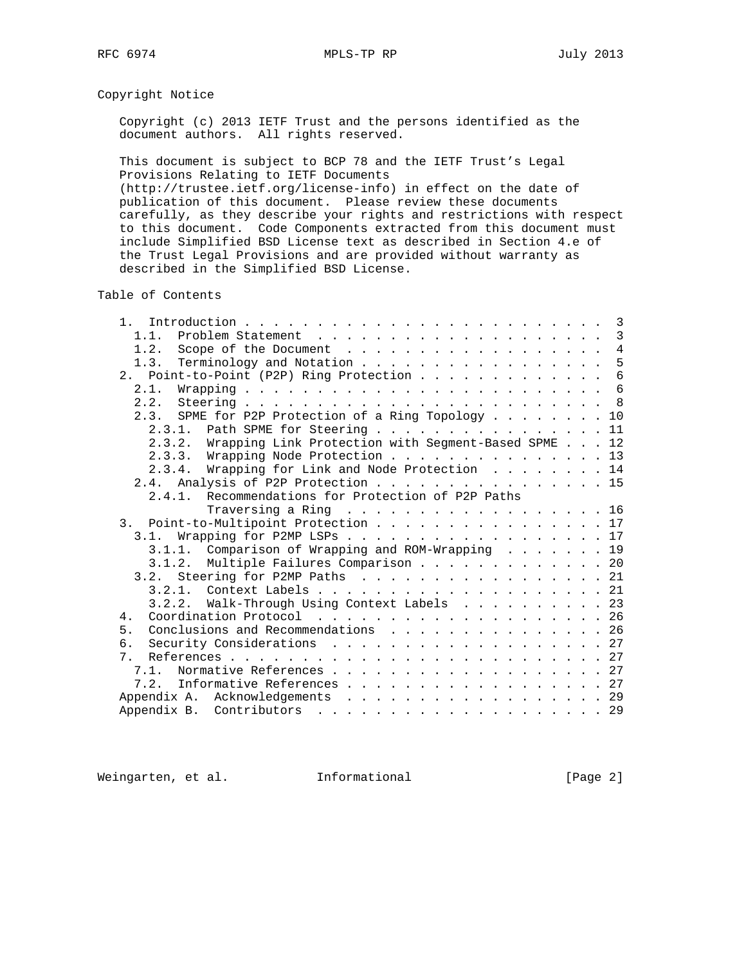# Copyright Notice

 Copyright (c) 2013 IETF Trust and the persons identified as the document authors. All rights reserved.

 This document is subject to BCP 78 and the IETF Trust's Legal Provisions Relating to IETF Documents

 (http://trustee.ietf.org/license-info) in effect on the date of publication of this document. Please review these documents carefully, as they describe your rights and restrictions with respect to this document. Code Components extracted from this document must include Simplified BSD License text as described in Section 4.e of the Trust Legal Provisions and are provided without warranty as described in the Simplified BSD License.

Table of Contents

| 1.1.                                                       |  | $\overline{3}$ |
|------------------------------------------------------------|--|----------------|
| 1.2. Scope of the Document 4                               |  |                |
| Terminology and Notation<br>1.3.                           |  | 5              |
| 2. Point-to-Point (P2P) Ring Protection                    |  | 6              |
|                                                            |  |                |
|                                                            |  |                |
| 2.3. SPME for P2P Protection of a Ring Topology 10         |  |                |
| 2.3.1. Path SPME for Steering 11                           |  |                |
| 2.3.2. Wrapping Link Protection with Segment-Based SPME 12 |  |                |
| 2.3.3. Wrapping Node Protection 13                         |  |                |
| 2.3.4. Wrapping for Link and Node Protection 14            |  |                |
| 2.4. Analysis of P2P Protection 15                         |  |                |
| 2.4.1. Recommendations for Protection of P2P Paths         |  |                |
| Traversing a Ring $\ldots$ 16                              |  |                |
| 3. Point-to-Multipoint Protection 17                       |  |                |
| 3.1. Wrapping for P2MP LSPs 17                             |  |                |
| 3.1.1. Comparison of Wrapping and ROM-Wrapping 19          |  |                |
| 3.1.2. Multiple Failures Comparison 20                     |  |                |
| 3.2. Steering for P2MP Paths 21                            |  |                |
|                                                            |  |                |
| 3.2.2. Walk-Through Using Context Labels 23                |  |                |
| 4.                                                         |  |                |
| Conclusions and Recommendations 26<br>5.                   |  |                |
|                                                            |  |                |
| Security Considerations 27<br>б.                           |  |                |
| 7 <sub>1</sub>                                             |  |                |
| 7.1. Normative References 27                               |  |                |
| 7.2. Informative References 27                             |  |                |
| Appendix A. Acknowledgements 29                            |  |                |
|                                                            |  |                |

Weingarten, et al. 1nformational 1999 [Page 2]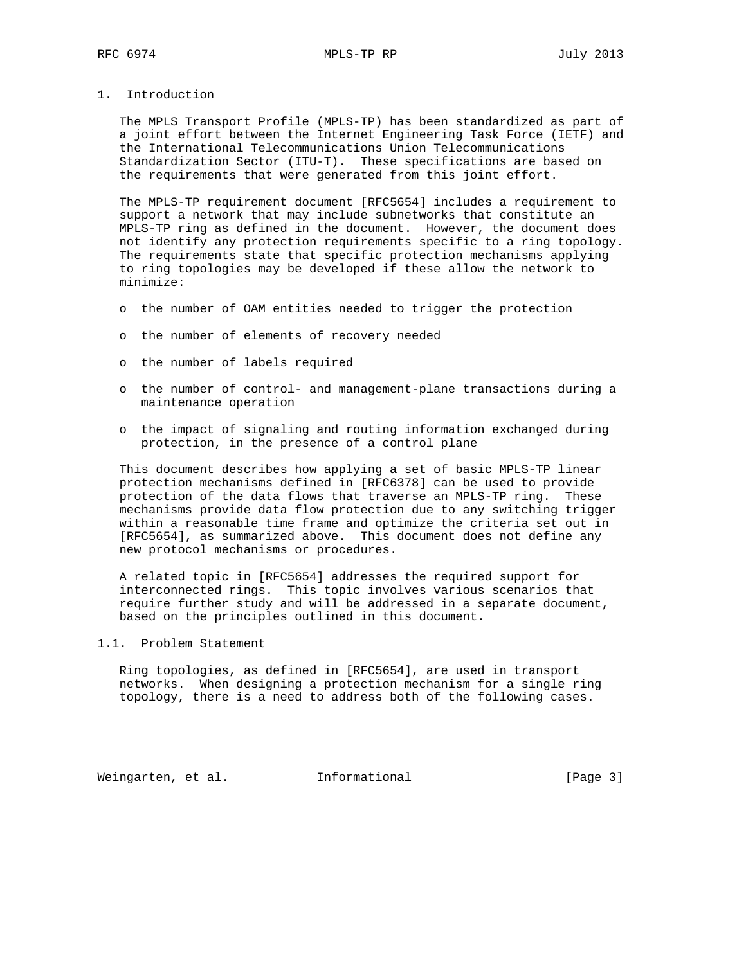1. Introduction

 The MPLS Transport Profile (MPLS-TP) has been standardized as part of a joint effort between the Internet Engineering Task Force (IETF) and the International Telecommunications Union Telecommunications Standardization Sector (ITU-T). These specifications are based on the requirements that were generated from this joint effort.

 The MPLS-TP requirement document [RFC5654] includes a requirement to support a network that may include subnetworks that constitute an MPLS-TP ring as defined in the document. However, the document does not identify any protection requirements specific to a ring topology. The requirements state that specific protection mechanisms applying to ring topologies may be developed if these allow the network to minimize:

- o the number of OAM entities needed to trigger the protection
- o the number of elements of recovery needed
- o the number of labels required
- o the number of control- and management-plane transactions during a maintenance operation
- o the impact of signaling and routing information exchanged during protection, in the presence of a control plane

 This document describes how applying a set of basic MPLS-TP linear protection mechanisms defined in [RFC6378] can be used to provide protection of the data flows that traverse an MPLS-TP ring. These mechanisms provide data flow protection due to any switching trigger within a reasonable time frame and optimize the criteria set out in [RFC5654], as summarized above. This document does not define any new protocol mechanisms or procedures.

 A related topic in [RFC5654] addresses the required support for interconnected rings. This topic involves various scenarios that require further study and will be addressed in a separate document, based on the principles outlined in this document.

# 1.1. Problem Statement

 Ring topologies, as defined in [RFC5654], are used in transport networks. When designing a protection mechanism for a single ring topology, there is a need to address both of the following cases.

Weingarten, et al. Informational [Page 3]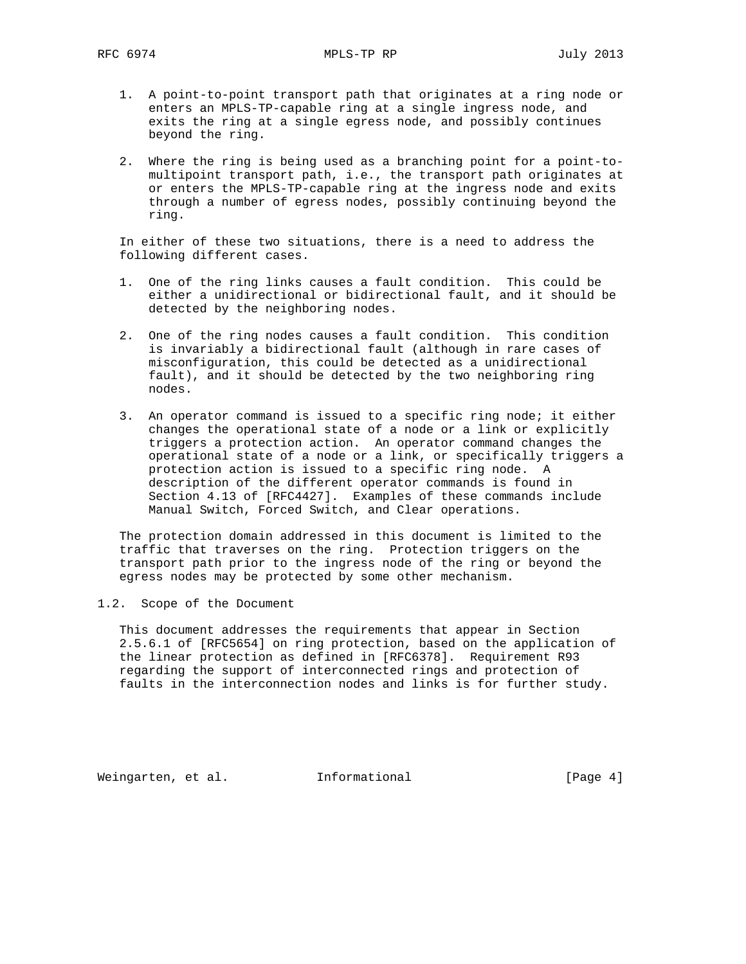- 1. A point-to-point transport path that originates at a ring node or enters an MPLS-TP-capable ring at a single ingress node, and exits the ring at a single egress node, and possibly continues beyond the ring.
- 2. Where the ring is being used as a branching point for a point-to multipoint transport path, i.e., the transport path originates at or enters the MPLS-TP-capable ring at the ingress node and exits through a number of egress nodes, possibly continuing beyond the ring.

 In either of these two situations, there is a need to address the following different cases.

- 1. One of the ring links causes a fault condition. This could be either a unidirectional or bidirectional fault, and it should be detected by the neighboring nodes.
- 2. One of the ring nodes causes a fault condition. This condition is invariably a bidirectional fault (although in rare cases of misconfiguration, this could be detected as a unidirectional fault), and it should be detected by the two neighboring ring nodes.
- 3. An operator command is issued to a specific ring node; it either changes the operational state of a node or a link or explicitly triggers a protection action. An operator command changes the operational state of a node or a link, or specifically triggers a protection action is issued to a specific ring node. A description of the different operator commands is found in Section 4.13 of [RFC4427]. Examples of these commands include Manual Switch, Forced Switch, and Clear operations.

 The protection domain addressed in this document is limited to the traffic that traverses on the ring. Protection triggers on the transport path prior to the ingress node of the ring or beyond the egress nodes may be protected by some other mechanism.

1.2. Scope of the Document

 This document addresses the requirements that appear in Section 2.5.6.1 of [RFC5654] on ring protection, based on the application of the linear protection as defined in [RFC6378]. Requirement R93 regarding the support of interconnected rings and protection of faults in the interconnection nodes and links is for further study.

Weingarten, et al. Informational [Page 4]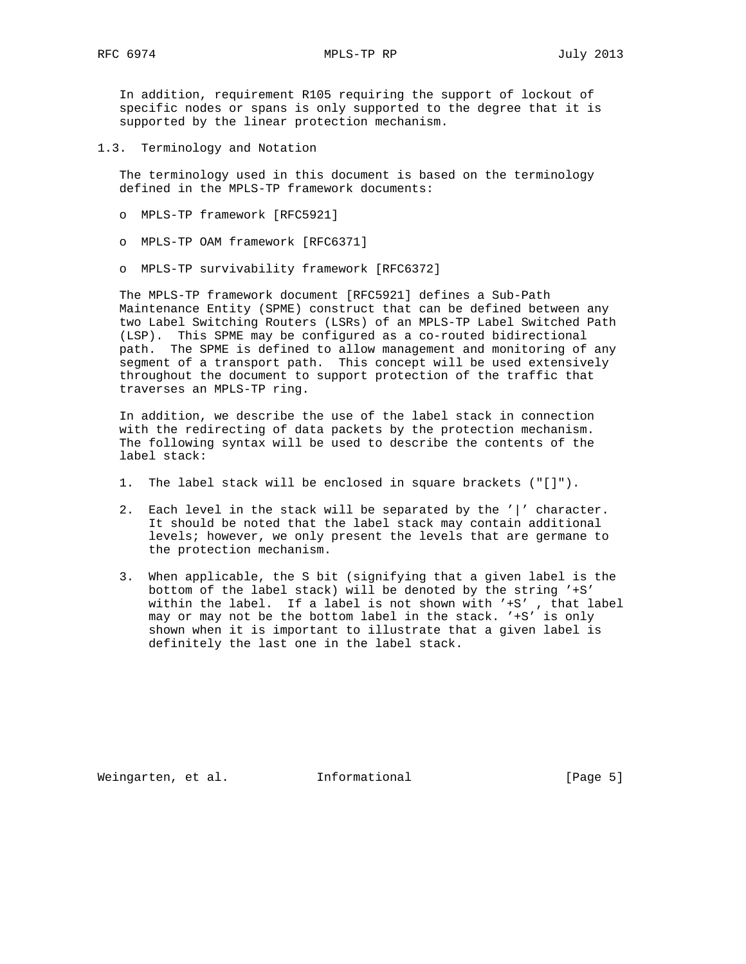In addition, requirement R105 requiring the support of lockout of specific nodes or spans is only supported to the degree that it is supported by the linear protection mechanism.

1.3. Terminology and Notation

 The terminology used in this document is based on the terminology defined in the MPLS-TP framework documents:

- o MPLS-TP framework [RFC5921]
- o MPLS-TP OAM framework [RFC6371]
- o MPLS-TP survivability framework [RFC6372]

 The MPLS-TP framework document [RFC5921] defines a Sub-Path Maintenance Entity (SPME) construct that can be defined between any two Label Switching Routers (LSRs) of an MPLS-TP Label Switched Path (LSP). This SPME may be configured as a co-routed bidirectional path. The SPME is defined to allow management and monitoring of any segment of a transport path. This concept will be used extensively throughout the document to support protection of the traffic that traverses an MPLS-TP ring.

 In addition, we describe the use of the label stack in connection with the redirecting of data packets by the protection mechanism. The following syntax will be used to describe the contents of the label stack:

- 1. The label stack will be enclosed in square brackets ("[]").
- 2. Each level in the stack will be separated by the '|' character. It should be noted that the label stack may contain additional levels; however, we only present the levels that are germane to the protection mechanism.
- 3. When applicable, the S bit (signifying that a given label is the bottom of the label stack) will be denoted by the string '+S' within the label. If a label is not shown with '+S' , that label may or may not be the bottom label in the stack. '+S' is only shown when it is important to illustrate that a given label is definitely the last one in the label stack.

Weingarten, et al. 1nformational 1999 [Page 5]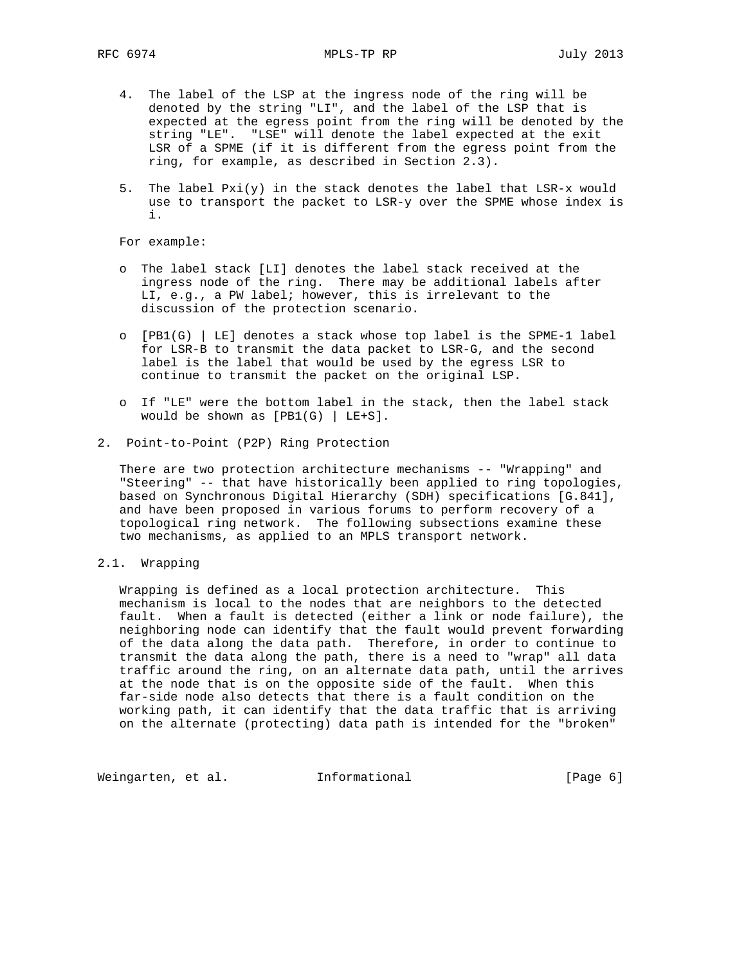- 4. The label of the LSP at the ingress node of the ring will be denoted by the string "LI", and the label of the LSP that is expected at the egress point from the ring will be denoted by the string "LE". "LSE" will denote the label expected at the exit LSR of a SPME (if it is different from the egress point from the ring, for example, as described in Section 2.3).
- 5. The label Pxi(y) in the stack denotes the label that LSR-x would use to transport the packet to LSR-y over the SPME whose index is i.

For example:

- o The label stack [LI] denotes the label stack received at the ingress node of the ring. There may be additional labels after LI, e.g., a PW label; however, this is irrelevant to the discussion of the protection scenario.
- o [PB1(G) | LE] denotes a stack whose top label is the SPME-1 label for LSR-B to transmit the data packet to LSR-G, and the second label is the label that would be used by the egress LSR to continue to transmit the packet on the original LSP.
- o If "LE" were the bottom label in the stack, then the label stack would be shown as  $[PB1(G) | LE+S]$ .
- 2. Point-to-Point (P2P) Ring Protection

 There are two protection architecture mechanisms -- "Wrapping" and "Steering" -- that have historically been applied to ring topologies, based on Synchronous Digital Hierarchy (SDH) specifications [G.841], and have been proposed in various forums to perform recovery of a topological ring network. The following subsections examine these two mechanisms, as applied to an MPLS transport network.

# 2.1. Wrapping

 Wrapping is defined as a local protection architecture. This mechanism is local to the nodes that are neighbors to the detected fault. When a fault is detected (either a link or node failure), the neighboring node can identify that the fault would prevent forwarding of the data along the data path. Therefore, in order to continue to transmit the data along the path, there is a need to "wrap" all data traffic around the ring, on an alternate data path, until the arrives at the node that is on the opposite side of the fault. When this far-side node also detects that there is a fault condition on the working path, it can identify that the data traffic that is arriving on the alternate (protecting) data path is intended for the "broken"

Weingarten, et al. 1nformational (Page 6)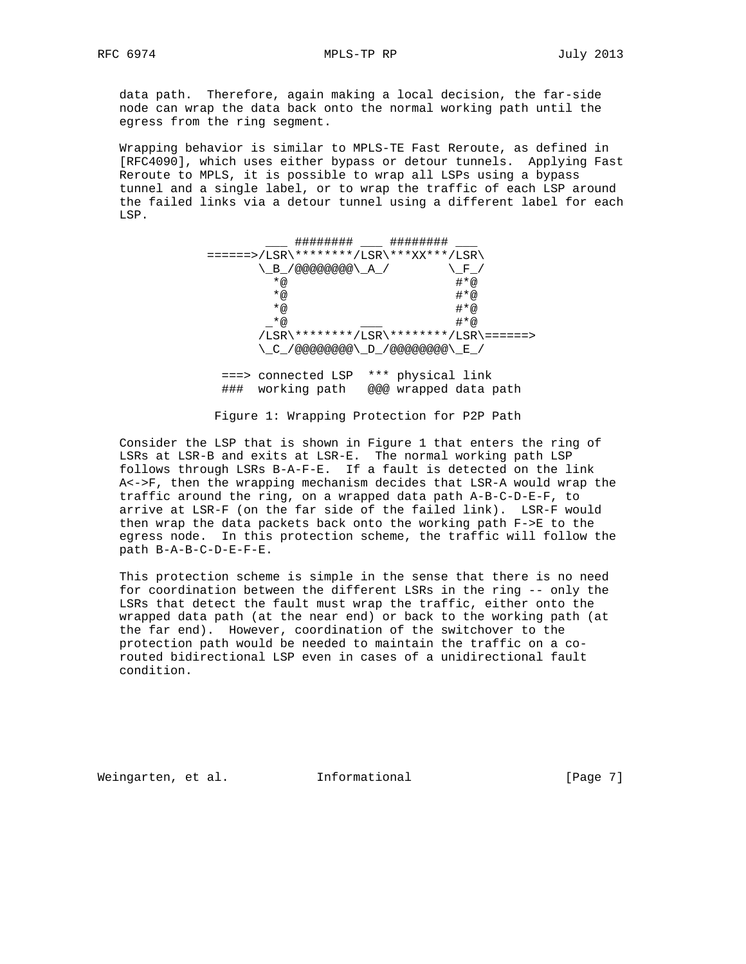data path. Therefore, again making a local decision, the far-side node can wrap the data back onto the normal working path until the egress from the ring segment.

 Wrapping behavior is similar to MPLS-TE Fast Reroute, as defined in [RFC4090], which uses either bypass or detour tunnels. Applying Fast Reroute to MPLS, it is possible to wrap all LSPs using a bypass tunnel and a single label, or to wrap the traffic of each LSP around the failed links via a detour tunnel using a different label for each LSP.

|     | ########                               | ########              |     |
|-----|----------------------------------------|-----------------------|-----|
|     | ======>/LSR\********/LSR\***XX***/LSR\ |                       |     |
|     | _B_/@@@@@@@@\ A /                      |                       | F   |
|     | $*_{@}$                                |                       | #*@ |
|     | $*_{@}$                                |                       | #*@ |
|     | * @                                    |                       | #*@ |
|     | $*_{@}$                                |                       | #*@ |
|     | /LSR\********/LSR\********/LSR\======> |                       |     |
|     |                                        |                       |     |
|     |                                        |                       |     |
|     | connected LSP                          | *** physical link     |     |
| ### | working path                           | @@@ wrapped data path |     |

Figure 1: Wrapping Protection for P2P Path

 Consider the LSP that is shown in Figure 1 that enters the ring of LSRs at LSR-B and exits at LSR-E. The normal working path LSP follows through LSRs B-A-F-E. If a fault is detected on the link A<->F, then the wrapping mechanism decides that LSR-A would wrap the traffic around the ring, on a wrapped data path A-B-C-D-E-F, to arrive at LSR-F (on the far side of the failed link). LSR-F would then wrap the data packets back onto the working path F->E to the egress node. In this protection scheme, the traffic will follow the path B-A-B-C-D-E-F-E.

 This protection scheme is simple in the sense that there is no need for coordination between the different LSRs in the ring -- only the LSRs that detect the fault must wrap the traffic, either onto the wrapped data path (at the near end) or back to the working path (at the far end). However, coordination of the switchover to the protection path would be needed to maintain the traffic on a co routed bidirectional LSP even in cases of a unidirectional fault condition.

Weingarten, et al. Informational [Page 7]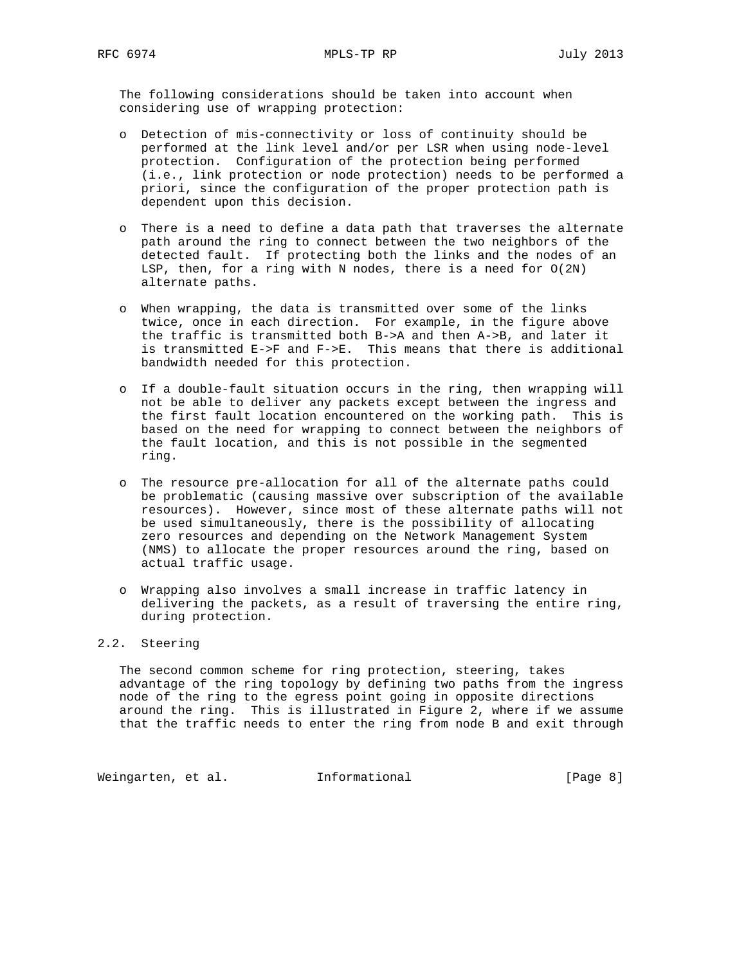The following considerations should be taken into account when considering use of wrapping protection:

- o Detection of mis-connectivity or loss of continuity should be performed at the link level and/or per LSR when using node-level protection. Configuration of the protection being performed (i.e., link protection or node protection) needs to be performed a priori, since the configuration of the proper protection path is dependent upon this decision.
- o There is a need to define a data path that traverses the alternate path around the ring to connect between the two neighbors of the detected fault. If protecting both the links and the nodes of an LSP, then, for a ring with N nodes, there is a need for  $O(2N)$ alternate paths.
- o When wrapping, the data is transmitted over some of the links twice, once in each direction. For example, in the figure above the traffic is transmitted both B->A and then A->B, and later it is transmitted E->F and F->E. This means that there is additional bandwidth needed for this protection.
- o If a double-fault situation occurs in the ring, then wrapping will not be able to deliver any packets except between the ingress and the first fault location encountered on the working path. This is based on the need for wrapping to connect between the neighbors of the fault location, and this is not possible in the segmented ring.
- o The resource pre-allocation for all of the alternate paths could be problematic (causing massive over subscription of the available resources). However, since most of these alternate paths will not be used simultaneously, there is the possibility of allocating zero resources and depending on the Network Management System (NMS) to allocate the proper resources around the ring, based on actual traffic usage.
- o Wrapping also involves a small increase in traffic latency in delivering the packets, as a result of traversing the entire ring, during protection.

# 2.2. Steering

 The second common scheme for ring protection, steering, takes advantage of the ring topology by defining two paths from the ingress node of the ring to the egress point going in opposite directions around the ring. This is illustrated in Figure 2, where if we assume that the traffic needs to enter the ring from node B and exit through

Weingarten, et al. 1nformational 1999 [Page 8]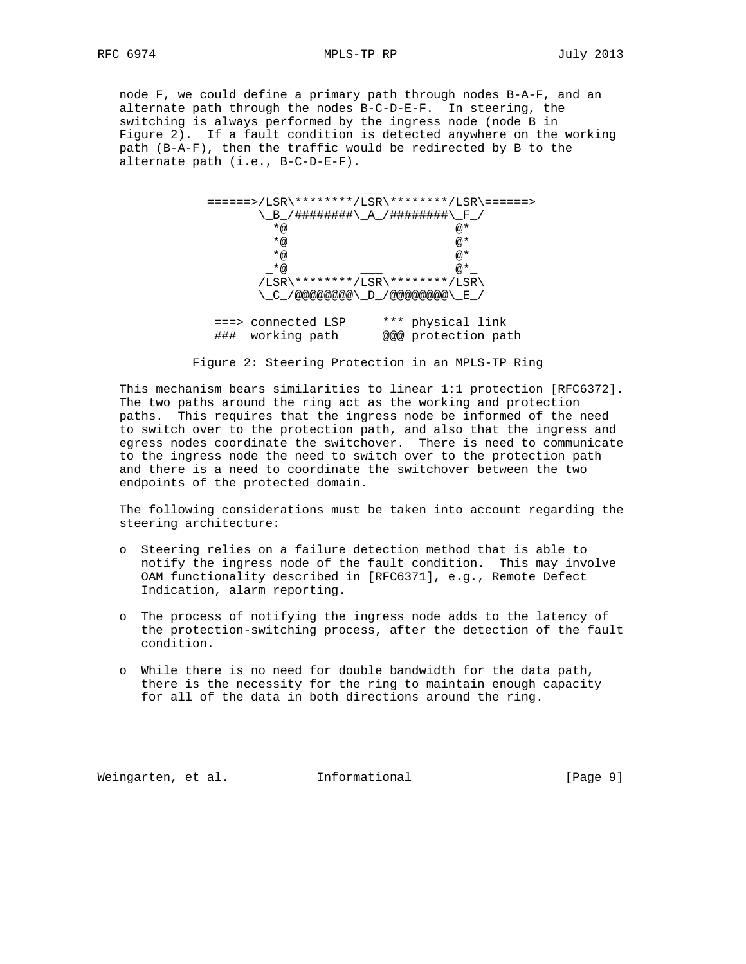node F, we could define a primary path through nodes B-A-F, and an alternate path through the nodes B-C-D-E-F. In steering, the switching is always performed by the ingress node (node B in Figure 2). If a fault condition is detected anywhere on the working path (B-A-F), then the traffic would be redirected by B to the alternate path (i.e., B-C-D-E-F).

|     |                                                                     | ======>/LSR\********/LSR\*******/LSR\======> |
|-----|---------------------------------------------------------------------|----------------------------------------------|
|     | 、 B / #########\__A__/ #########\__F__/                             |                                              |
|     | $*_{@}$                                                             | @*                                           |
|     | $*_{@}$                                                             | @*                                           |
|     | $*_{@}$                                                             | @*                                           |
|     | *@                                                                  | $@*$                                         |
|     | /LSR\********/LSR\********/LSR\                                     |                                              |
|     | $\backslash$ C /@@@@@@@@ $\backslash$ D /@@@@@@@@@ $\backslash$ E / |                                              |
|     |                                                                     |                                              |
|     | ===> connected LSP                                                  | *** physical link                            |
| ### | working path                                                        | @@@ protection path                          |

Figure 2: Steering Protection in an MPLS-TP Ring

 This mechanism bears similarities to linear 1:1 protection [RFC6372]. The two paths around the ring act as the working and protection paths. This requires that the ingress node be informed of the need to switch over to the protection path, and also that the ingress and egress nodes coordinate the switchover. There is need to communicate to the ingress node the need to switch over to the protection path and there is a need to coordinate the switchover between the two endpoints of the protected domain.

 The following considerations must be taken into account regarding the steering architecture:

- o Steering relies on a failure detection method that is able to notify the ingress node of the fault condition. This may involve OAM functionality described in [RFC6371], e.g., Remote Defect Indication, alarm reporting.
- o The process of notifying the ingress node adds to the latency of the protection-switching process, after the detection of the fault condition.
- o While there is no need for double bandwidth for the data path, there is the necessity for the ring to maintain enough capacity for all of the data in both directions around the ring.

Weingarten, et al. Informational [Page 9]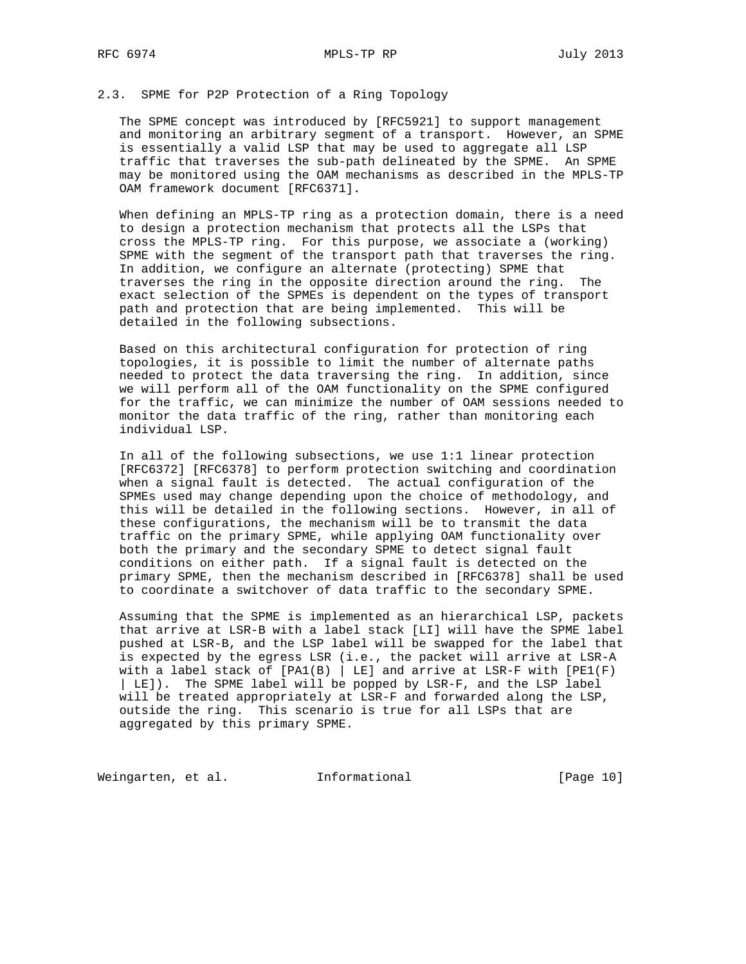# 2.3. SPME for P2P Protection of a Ring Topology

 The SPME concept was introduced by [RFC5921] to support management and monitoring an arbitrary segment of a transport. However, an SPME is essentially a valid LSP that may be used to aggregate all LSP traffic that traverses the sub-path delineated by the SPME. An SPME may be monitored using the OAM mechanisms as described in the MPLS-TP OAM framework document [RFC6371].

 When defining an MPLS-TP ring as a protection domain, there is a need to design a protection mechanism that protects all the LSPs that cross the MPLS-TP ring. For this purpose, we associate a (working) SPME with the segment of the transport path that traverses the ring. In addition, we configure an alternate (protecting) SPME that traverses the ring in the opposite direction around the ring. The exact selection of the SPMEs is dependent on the types of transport path and protection that are being implemented. This will be detailed in the following subsections.

 Based on this architectural configuration for protection of ring topologies, it is possible to limit the number of alternate paths needed to protect the data traversing the ring. In addition, since we will perform all of the OAM functionality on the SPME configured for the traffic, we can minimize the number of OAM sessions needed to monitor the data traffic of the ring, rather than monitoring each individual LSP.

 In all of the following subsections, we use 1:1 linear protection [RFC6372] [RFC6378] to perform protection switching and coordination when a signal fault is detected. The actual configuration of the SPMEs used may change depending upon the choice of methodology, and this will be detailed in the following sections. However, in all of these configurations, the mechanism will be to transmit the data traffic on the primary SPME, while applying OAM functionality over both the primary and the secondary SPME to detect signal fault conditions on either path. If a signal fault is detected on the primary SPME, then the mechanism described in [RFC6378] shall be used to coordinate a switchover of data traffic to the secondary SPME.

 Assuming that the SPME is implemented as an hierarchical LSP, packets that arrive at LSR-B with a label stack [LI] will have the SPME label pushed at LSR-B, and the LSP label will be swapped for the label that is expected by the egress LSR (i.e., the packet will arrive at LSR-A with a label stack of  $[PA1(B) | LE]$  and arrive at LSR-F with  $[PE1(F)]$  | LE]). The SPME label will be popped by LSR-F, and the LSP label will be treated appropriately at LSR-F and forwarded along the LSP, outside the ring. This scenario is true for all LSPs that are aggregated by this primary SPME.

Weingarten, et al. 1nformational 1999 [Page 10]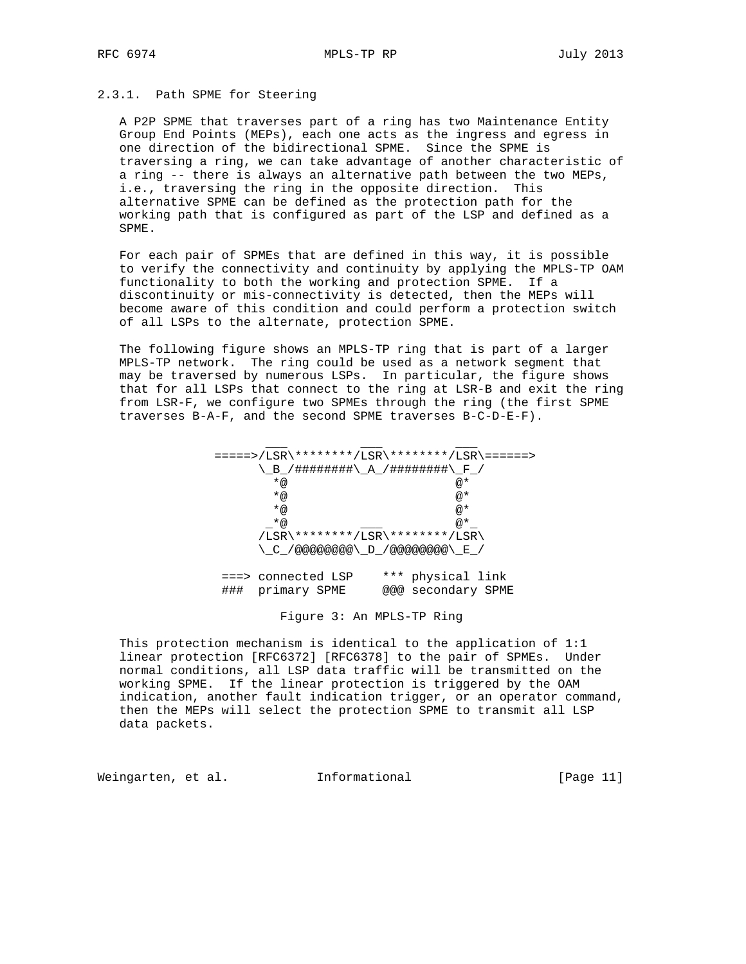# 2.3.1. Path SPME for Steering

 A P2P SPME that traverses part of a ring has two Maintenance Entity Group End Points (MEPs), each one acts as the ingress and egress in one direction of the bidirectional SPME. Since the SPME is traversing a ring, we can take advantage of another characteristic of a ring -- there is always an alternative path between the two MEPs, i.e., traversing the ring in the opposite direction. This alternative SPME can be defined as the protection path for the working path that is configured as part of the LSP and defined as a SPME.

 For each pair of SPMEs that are defined in this way, it is possible to verify the connectivity and continuity by applying the MPLS-TP OAM functionality to both the working and protection SPME. If a discontinuity or mis-connectivity is detected, then the MEPs will become aware of this condition and could perform a protection switch of all LSPs to the alternate, protection SPME.

 The following figure shows an MPLS-TP ring that is part of a larger MPLS-TP network. The ring could be used as a network segment that may be traversed by numerous LSPs. In particular, the figure shows that for all LSPs that connect to the ring at LSR-B and exit the ring from LSR-F, we configure two SPMEs through the ring (the first SPME traverses B-A-F, and the second SPME traverses B-C-D-E-F).

|         | =====>/LSR\********/LSR\********/LSR\======>                    |
|---------|-----------------------------------------------------------------|
|         | ヽ゠B゠/#########\ A /########\ F /                                |
| $*_{@}$ | @*                                                              |
| $*_{@}$ | @*                                                              |
| $*_{@}$ | @*                                                              |
| $*_{@}$ | @*                                                              |
|         | /LSR\********/LSR\********/LSR\                                 |
|         | $\setminus$ C /@@@@@@@@ $\setminus$ D /@@@@@@@@ $\setminus$ E / |
|         |                                                                 |

 ===> connected LSP \*\*\* physical link ### primary SPME @@@ secondary SPME

Figure 3: An MPLS-TP Ring

 This protection mechanism is identical to the application of 1:1 linear protection [RFC6372] [RFC6378] to the pair of SPMEs. Under normal conditions, all LSP data traffic will be transmitted on the working SPME. If the linear protection is triggered by the OAM indication, another fault indication trigger, or an operator command, then the MEPs will select the protection SPME to transmit all LSP data packets.

Weingarten, et al. 1nformational 1999 [Page 11]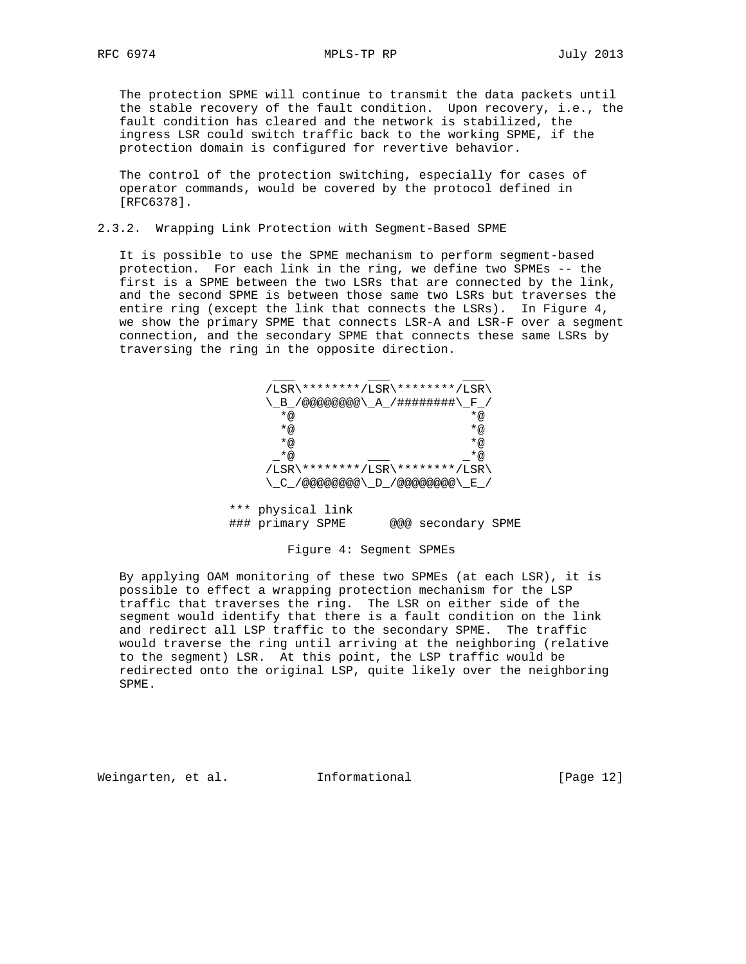RFC 6974 MPLS-TP RP July 2013

 The protection SPME will continue to transmit the data packets until the stable recovery of the fault condition. Upon recovery, i.e., the fault condition has cleared and the network is stabilized, the ingress LSR could switch traffic back to the working SPME, if the protection domain is configured for revertive behavior.

 The control of the protection switching, especially for cases of operator commands, would be covered by the protocol defined in [RFC6378].

### 2.3.2. Wrapping Link Protection with Segment-Based SPME

 It is possible to use the SPME mechanism to perform segment-based protection. For each link in the ring, we define two SPMEs -- the first is a SPME between the two LSRs that are connected by the link, and the second SPME is between those same two LSRs but traverses the entire ring (except the link that connects the LSRs). In Figure 4, we show the primary SPME that connects LSR-A and LSR-F over a segment connection, and the secondary SPME that connects these same LSRs by traversing the ring in the opposite direction.

| /LSR\********/LSR\********/LSR\  |         |
|----------------------------------|---------|
| \ B /@@@@@@@@\ A /#########\ F / |         |
| *@                               | $*_{@}$ |
| *@                               | $*_{@}$ |
| *@                               | $*_{@}$ |
| *@                               | $*_{@}$ |
| /LSR\********/LSR\********/LSR\  |         |
|                                  |         |

 \*\*\* physical link ### primary SPME @@@ secondary SPME

Figure 4: Segment SPMEs

 By applying OAM monitoring of these two SPMEs (at each LSR), it is possible to effect a wrapping protection mechanism for the LSP traffic that traverses the ring. The LSR on either side of the segment would identify that there is a fault condition on the link and redirect all LSP traffic to the secondary SPME. The traffic would traverse the ring until arriving at the neighboring (relative to the segment) LSR. At this point, the LSP traffic would be redirected onto the original LSP, quite likely over the neighboring SPME.

Weingarten, et al. Informational [Page 12]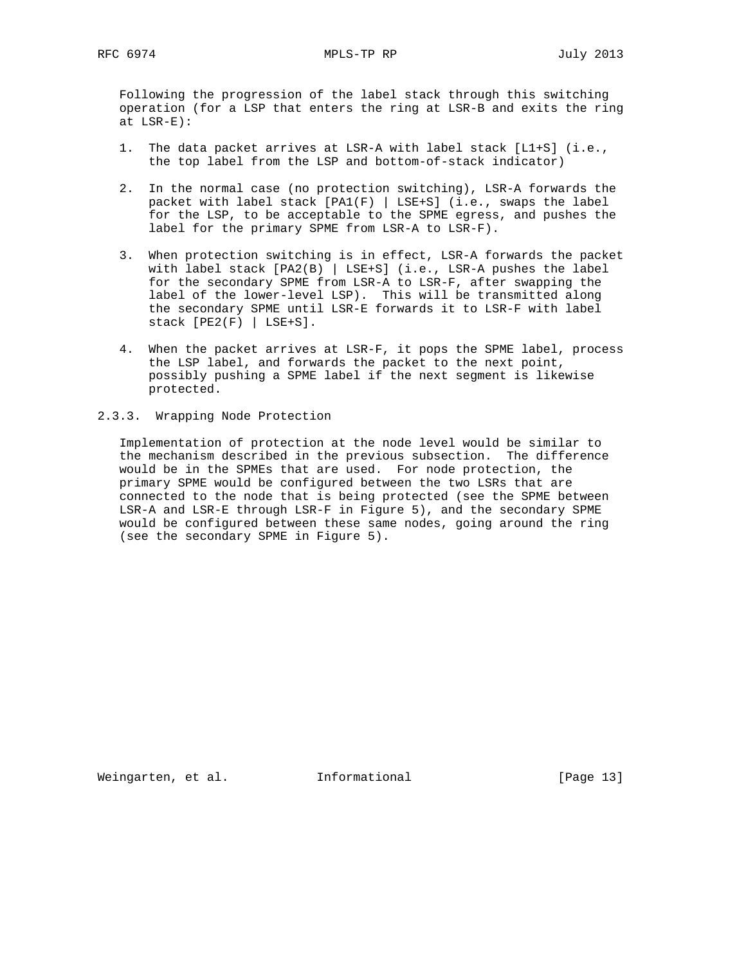Following the progression of the label stack through this switching operation (for a LSP that enters the ring at LSR-B and exits the ring at LSR-E):

- 1. The data packet arrives at LSR-A with label stack [L1+S] (i.e., the top label from the LSP and bottom-of-stack indicator)
- 2. In the normal case (no protection switching), LSR-A forwards the packet with label stack  $[PA1(F) | LSE+S]$  (i.e., swaps the label for the LSP, to be acceptable to the SPME egress, and pushes the label for the primary SPME from LSR-A to LSR-F).
- 3. When protection switching is in effect, LSR-A forwards the packet with label stack [PA2(B) | LSE+S] (i.e., LSR-A pushes the label for the secondary SPME from LSR-A to LSR-F, after swapping the label of the lower-level LSP). This will be transmitted along the secondary SPME until LSR-E forwards it to LSR-F with label  $stack [PE2(F) | LSE+S].$
- 4. When the packet arrives at LSR-F, it pops the SPME label, process the LSP label, and forwards the packet to the next point, possibly pushing a SPME label if the next segment is likewise protected.

# 2.3.3. Wrapping Node Protection

 Implementation of protection at the node level would be similar to the mechanism described in the previous subsection. The difference would be in the SPMEs that are used. For node protection, the primary SPME would be configured between the two LSRs that are connected to the node that is being protected (see the SPME between LSR-A and LSR-E through LSR-F in Figure 5), and the secondary SPME would be configured between these same nodes, going around the ring (see the secondary SPME in Figure 5).

Weingarten, et al. Informational [Page 13]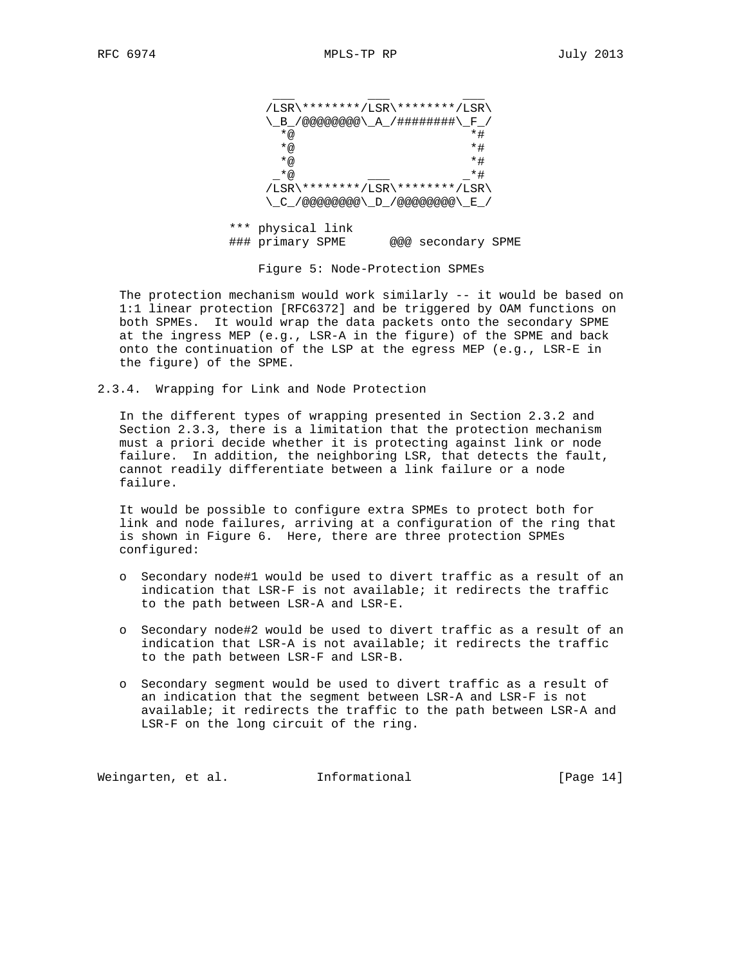| /LSR\********/LSR\********/LSR\                                     |    |
|---------------------------------------------------------------------|----|
| <u>、_B_</u> /@@@@@@@@\_A_/#########\_F <sup>_</sup> /               |    |
| $*_{@}$                                                             | *# |
| *@                                                                  | *# |
| $*_{@}$                                                             | *# |
| $*_{@}$                                                             | *# |
| /LSR\********/LSR\********/LSR\                                     |    |
| $\backslash$ C /@@@@@@@@ $\backslash$ D /@@@@@@@@@ $\backslash$ E / |    |

 \*\*\* physical link ### primary SPME @@@ secondary SPME

Figure 5: Node-Protection SPMEs

 The protection mechanism would work similarly -- it would be based on 1:1 linear protection [RFC6372] and be triggered by OAM functions on both SPMEs. It would wrap the data packets onto the secondary SPME at the ingress MEP (e.g., LSR-A in the figure) of the SPME and back onto the continuation of the LSP at the egress MEP (e.g., LSR-E in the figure) of the SPME.

2.3.4. Wrapping for Link and Node Protection

 In the different types of wrapping presented in Section 2.3.2 and Section 2.3.3, there is a limitation that the protection mechanism must a priori decide whether it is protecting against link or node failure. In addition, the neighboring LSR, that detects the fault, cannot readily differentiate between a link failure or a node failure.

 It would be possible to configure extra SPMEs to protect both for link and node failures, arriving at a configuration of the ring that is shown in Figure 6. Here, there are three protection SPMEs configured:

- o Secondary node#1 would be used to divert traffic as a result of an indication that LSR-F is not available; it redirects the traffic to the path between LSR-A and LSR-E.
- o Secondary node#2 would be used to divert traffic as a result of an indication that LSR-A is not available; it redirects the traffic to the path between LSR-F and LSR-B.
- o Secondary segment would be used to divert traffic as a result of an indication that the segment between LSR-A and LSR-F is not available; it redirects the traffic to the path between LSR-A and LSR-F on the long circuit of the ring.

Weingarten, et al. 1nformational 1999 [Page 14]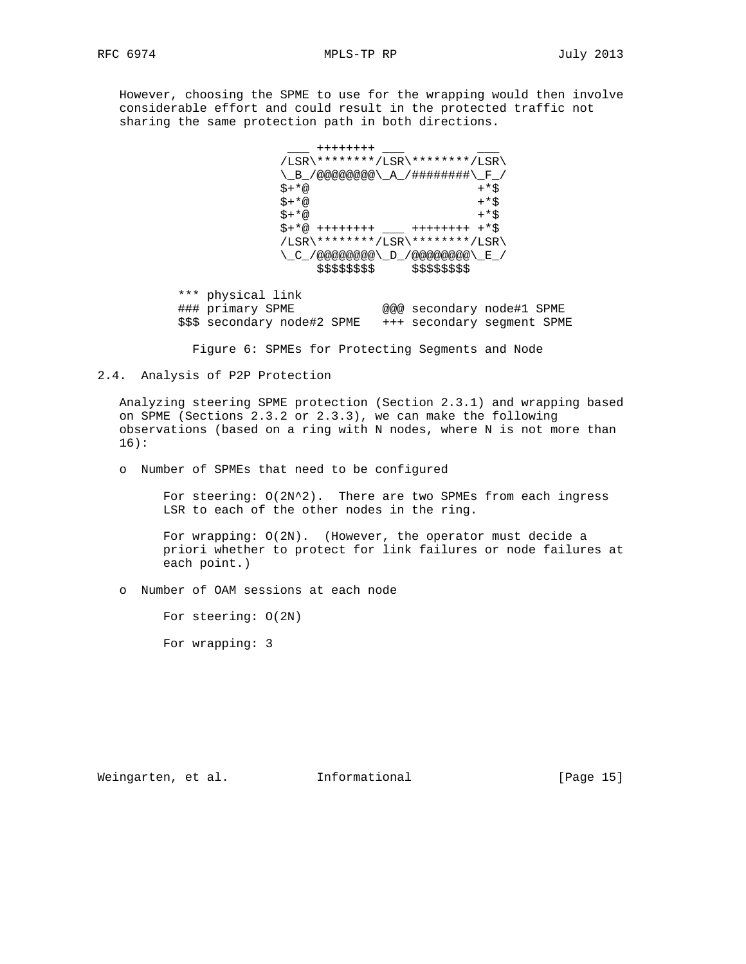However, choosing the SPME to use for the wrapping would then involve considerable effort and could result in the protected traffic not sharing the same protection path in both directions.

```
+ + + + + + + + /LSR\********/LSR\********/LSR\
                   \_B_/@@@@@@@@\_A_/########\_F_/
\zeta + * \omega + * \zeta\zeta + * \omega + * \zeta\zeta + * \omega + * \zeta $+*@ ++++++++ ___ ++++++++ +*$
                   /LSR\********/LSR\********/LSR\
                   \_C_/@@@@@@@@\_D_/@@@@@@@@\_E_/
                      $$$$$$$$ $$$$$$$$
```
 \*\*\* physical link ### primary SPME @@@ secondary node#1 SPME \$\$\$ secondary node#2 SPME +++ secondary segment SPME

Figure 6: SPMEs for Protecting Segments and Node

# 2.4. Analysis of P2P Protection

 Analyzing steering SPME protection (Section 2.3.1) and wrapping based on SPME (Sections 2.3.2 or 2.3.3), we can make the following observations (based on a ring with N nodes, where N is not more than 16):

o Number of SPMEs that need to be configured

 For steering: O(2N^2). There are two SPMEs from each ingress LSR to each of the other nodes in the ring.

 For wrapping: O(2N). (However, the operator must decide a priori whether to protect for link failures or node failures at each point.)

o Number of OAM sessions at each node

For steering: O(2N)

For wrapping: 3

Weingarten, et al. 1nformational 1999 [Page 15]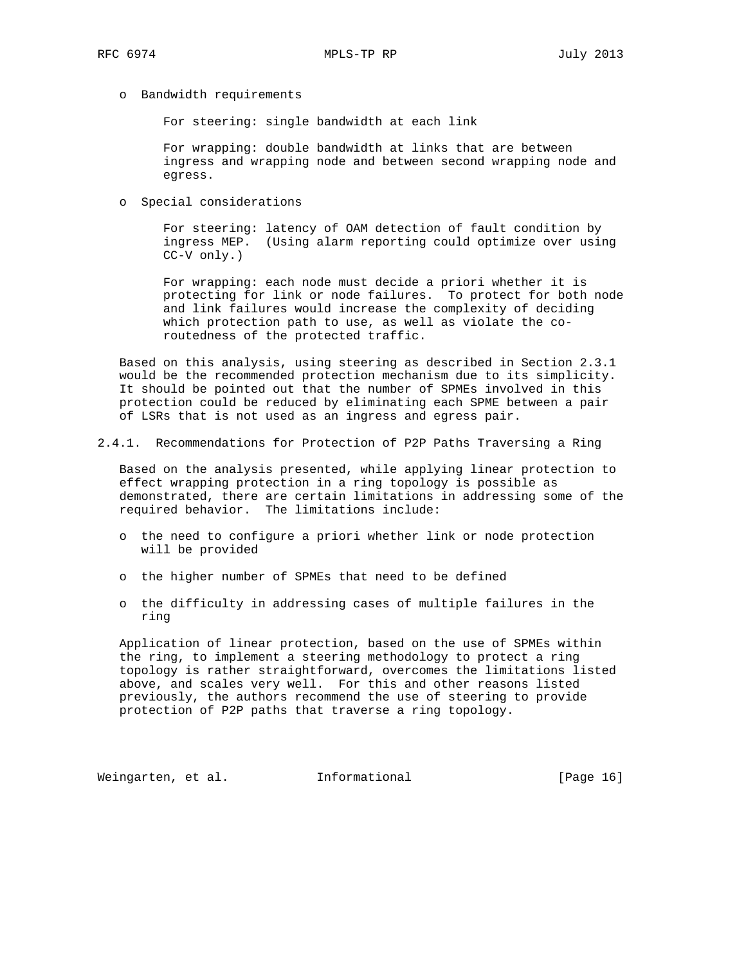o Bandwidth requirements

For steering: single bandwidth at each link

 For wrapping: double bandwidth at links that are between ingress and wrapping node and between second wrapping node and egress.

o Special considerations

 For steering: latency of OAM detection of fault condition by ingress MEP. (Using alarm reporting could optimize over using CC-V only.)

 For wrapping: each node must decide a priori whether it is protecting for link or node failures. To protect for both node and link failures would increase the complexity of deciding which protection path to use, as well as violate the co routedness of the protected traffic.

 Based on this analysis, using steering as described in Section 2.3.1 would be the recommended protection mechanism due to its simplicity. It should be pointed out that the number of SPMEs involved in this protection could be reduced by eliminating each SPME between a pair of LSRs that is not used as an ingress and egress pair.

2.4.1. Recommendations for Protection of P2P Paths Traversing a Ring

 Based on the analysis presented, while applying linear protection to effect wrapping protection in a ring topology is possible as demonstrated, there are certain limitations in addressing some of the required behavior. The limitations include:

- o the need to configure a priori whether link or node protection will be provided
- o the higher number of SPMEs that need to be defined
- o the difficulty in addressing cases of multiple failures in the ring

 Application of linear protection, based on the use of SPMEs within the ring, to implement a steering methodology to protect a ring topology is rather straightforward, overcomes the limitations listed above, and scales very well. For this and other reasons listed previously, the authors recommend the use of steering to provide protection of P2P paths that traverse a ring topology.

Weingarten, et al. 1nformational 1999 [Page 16]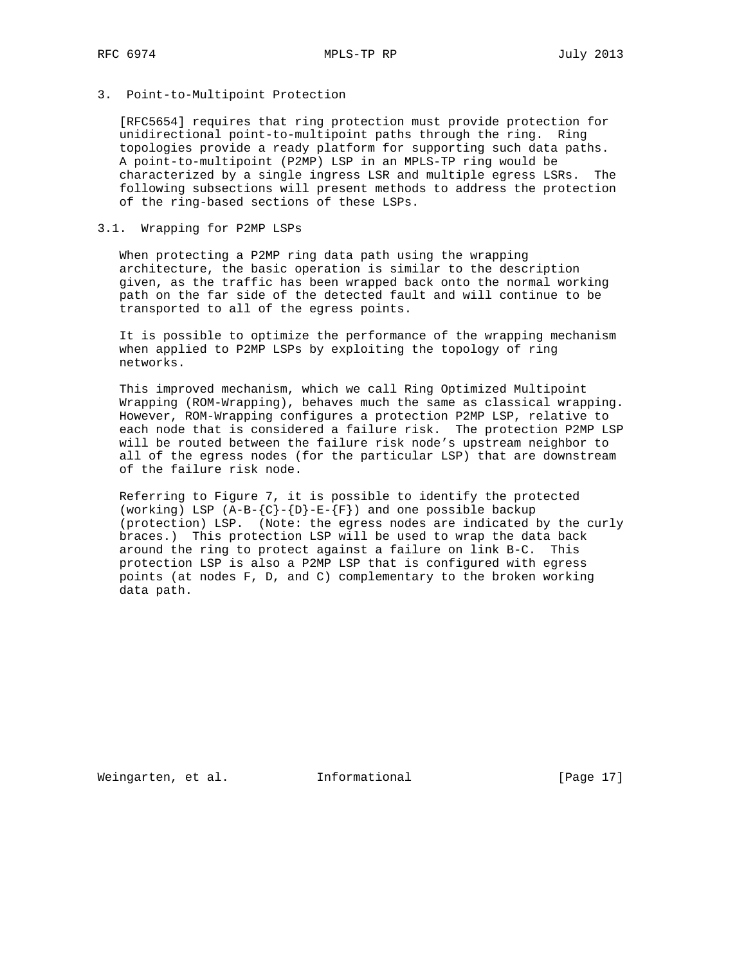# 3. Point-to-Multipoint Protection

 [RFC5654] requires that ring protection must provide protection for unidirectional point-to-multipoint paths through the ring. Ring topologies provide a ready platform for supporting such data paths. A point-to-multipoint (P2MP) LSP in an MPLS-TP ring would be characterized by a single ingress LSR and multiple egress LSRs. The following subsections will present methods to address the protection of the ring-based sections of these LSPs.

# 3.1. Wrapping for P2MP LSPs

 When protecting a P2MP ring data path using the wrapping architecture, the basic operation is similar to the description given, as the traffic has been wrapped back onto the normal working path on the far side of the detected fault and will continue to be transported to all of the egress points.

 It is possible to optimize the performance of the wrapping mechanism when applied to P2MP LSPs by exploiting the topology of ring networks.

 This improved mechanism, which we call Ring Optimized Multipoint Wrapping (ROM-Wrapping), behaves much the same as classical wrapping. However, ROM-Wrapping configures a protection P2MP LSP, relative to each node that is considered a failure risk. The protection P2MP LSP will be routed between the failure risk node's upstream neighbor to all of the egress nodes (for the particular LSP) that are downstream of the failure risk node.

 Referring to Figure 7, it is possible to identify the protected (working) LSP  $(A-B-\{C\}-\{D\}-E-\{F\})$  and one possible backup (protection) LSP. (Note: the egress nodes are indicated by the curly braces.) This protection LSP will be used to wrap the data back around the ring to protect against a failure on link B-C. This protection LSP is also a P2MP LSP that is configured with egress points (at nodes F, D, and C) complementary to the broken working data path.

Weingarten, et al. 1nformational [Page 17]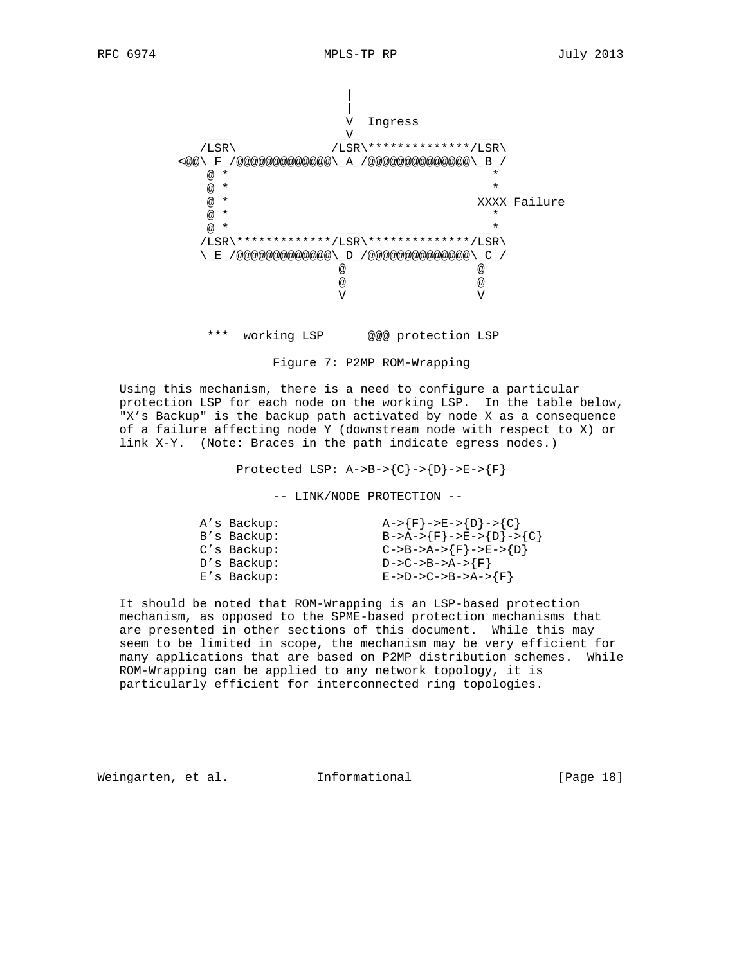

\*\*\* working LSP @@@ protection LSP

Figure 7: P2MP ROM-Wrapping

 Using this mechanism, there is a need to configure a particular protection LSP for each node on the working LSP. In the table below, "X's Backup" is the backup path activated by node X as a consequence of a failure affecting node Y (downstream node with respect to X) or link X-Y. (Note: Braces in the path indicate egress nodes.)

Protected LSP:  $A->B->{C}->{D}->E->{F}$ 

-- LINK/NODE PROTECTION --

| $A->{F}->E->{D}->{C}$    |
|--------------------------|
| $B->A->{F}->E->{D}->{C}$ |
| $C->B->A->{F}->E->{D}$   |
| $D->C->B->A->F$          |
| $E->D->C->B->A->{F}$     |
|                          |

 It should be noted that ROM-Wrapping is an LSP-based protection mechanism, as opposed to the SPME-based protection mechanisms that are presented in other sections of this document. While this may seem to be limited in scope, the mechanism may be very efficient for many applications that are based on P2MP distribution schemes. While ROM-Wrapping can be applied to any network topology, it is particularly efficient for interconnected ring topologies.

Weingarten, et al. Informational [Page 18]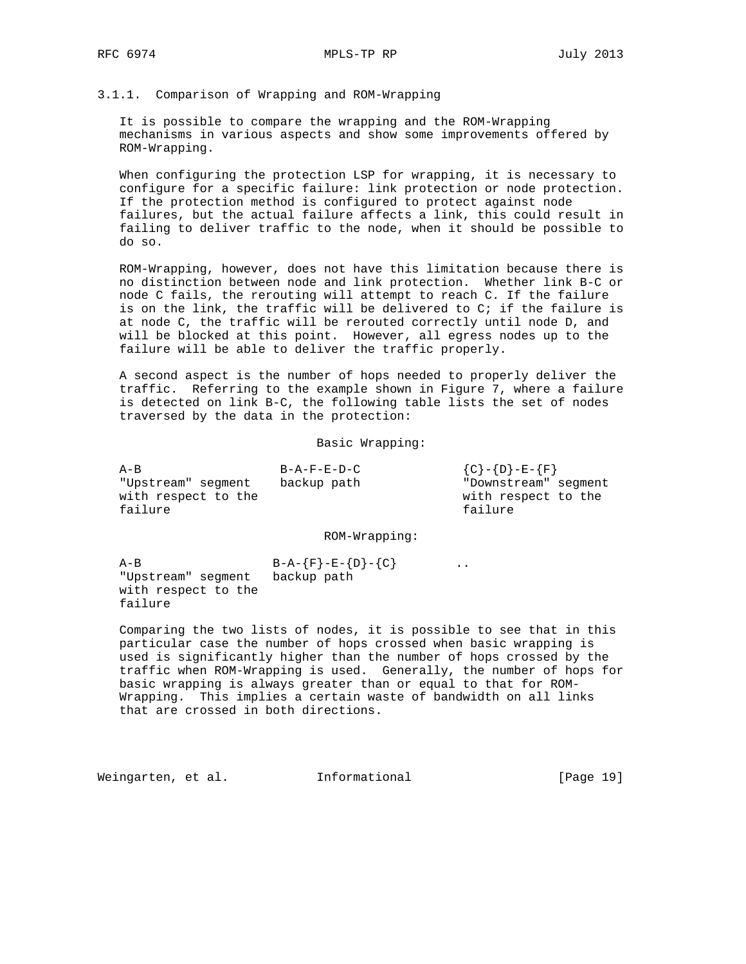#### 3.1.1. Comparison of Wrapping and ROM-Wrapping

 It is possible to compare the wrapping and the ROM-Wrapping mechanisms in various aspects and show some improvements offered by ROM-Wrapping.

 When configuring the protection LSP for wrapping, it is necessary to configure for a specific failure: link protection or node protection. If the protection method is configured to protect against node failures, but the actual failure affects a link, this could result in failing to deliver traffic to the node, when it should be possible to do so.

 ROM-Wrapping, however, does not have this limitation because there is no distinction between node and link protection. Whether link B-C or node C fails, the rerouting will attempt to reach C. If the failure is on the link, the traffic will be delivered to C; if the failure is at node C, the traffic will be rerouted correctly until node D, and will be blocked at this point. However, all egress nodes up to the failure will be able to deliver the traffic properly.

 A second aspect is the number of hops needed to properly deliver the traffic. Referring to the example shown in Figure 7, where a failure is detected on link B-C, the following table lists the set of nodes traversed by the data in the protection:

Basic Wrapping:

| $A - B$             | $B - A - F - E - D - C$ | ${C} - {D} - E - {F}$ |  |
|---------------------|-------------------------|-----------------------|--|
| "Upstream" seqment  | backup path             | "Downstream" segment  |  |
| with respect to the |                         | with respect to the   |  |
| failure             |                         | failure               |  |
|                     |                         |                       |  |

ROM-Wrapping:

 $A-B$   $B-A-\{F\}-E-\{D\}-\{C\}$  .. "Upstream" segment backup path with respect to the failure

 Comparing the two lists of nodes, it is possible to see that in this particular case the number of hops crossed when basic wrapping is used is significantly higher than the number of hops crossed by the traffic when ROM-Wrapping is used. Generally, the number of hops for basic wrapping is always greater than or equal to that for ROM- Wrapping. This implies a certain waste of bandwidth on all links that are crossed in both directions.

Weingarten, et al. 1nformational 1917 [Page 19]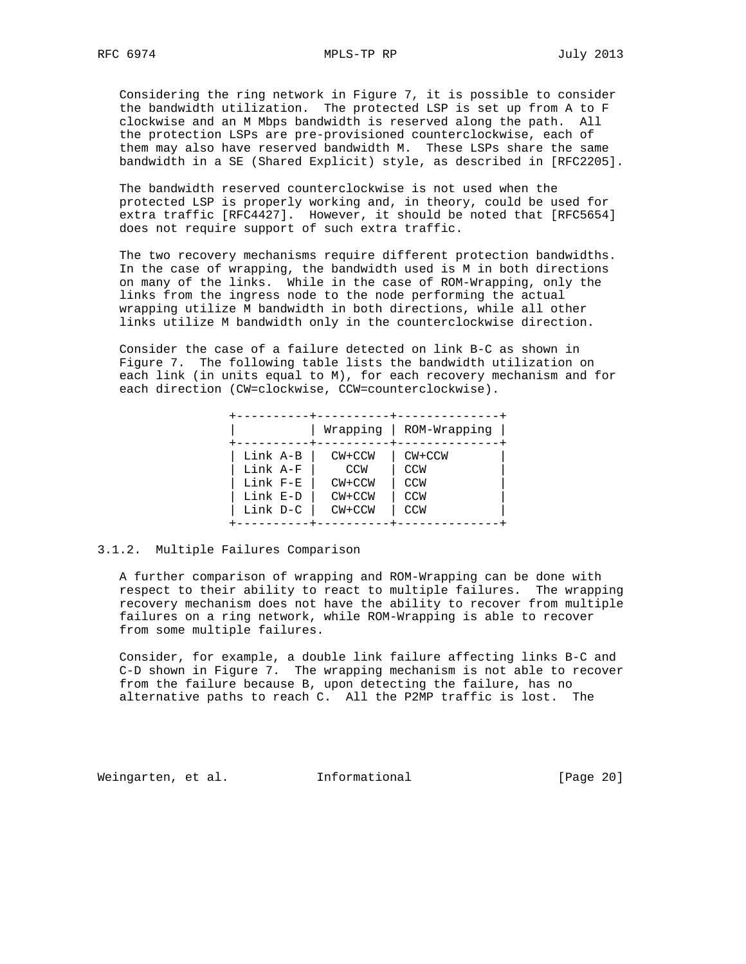Considering the ring network in Figure 7, it is possible to consider the bandwidth utilization. The protected LSP is set up from A to F clockwise and an M Mbps bandwidth is reserved along the path. All the protection LSPs are pre-provisioned counterclockwise, each of them may also have reserved bandwidth M. These LSPs share the same bandwidth in a SE (Shared Explicit) style, as described in [RFC2205].

 The bandwidth reserved counterclockwise is not used when the protected LSP is properly working and, in theory, could be used for extra traffic [RFC4427]. However, it should be noted that [RFC5654] does not require support of such extra traffic.

 The two recovery mechanisms require different protection bandwidths. In the case of wrapping, the bandwidth used is M in both directions on many of the links. While in the case of ROM-Wrapping, only the links from the ingress node to the node performing the actual wrapping utilize M bandwidth in both directions, while all other links utilize M bandwidth only in the counterclockwise direction.

 Consider the case of a failure detected on link B-C as shown in Figure 7. The following table lists the bandwidth utilization on each link (in units equal to M), for each recovery mechanism and for each direction (CW=clockwise, CCW=counterclockwise).

|          | Wrapping | ROM-Wrapping |
|----------|----------|--------------|
| Link A-B | $CW+CCW$ | $CW+CCW$     |
| Link A-F | CCW      | <b>CCW</b>   |
| Link F-E | $CW+CCW$ | <b>CCW</b>   |
| Link E-D | $CW+CCW$ | <b>CCW</b>   |
| Link D-C | $CW+CCW$ | <b>CCW</b>   |

## 3.1.2. Multiple Failures Comparison

 A further comparison of wrapping and ROM-Wrapping can be done with respect to their ability to react to multiple failures. The wrapping recovery mechanism does not have the ability to recover from multiple failures on a ring network, while ROM-Wrapping is able to recover from some multiple failures.

 Consider, for example, a double link failure affecting links B-C and C-D shown in Figure 7. The wrapping mechanism is not able to recover from the failure because B, upon detecting the failure, has no alternative paths to reach C. All the P2MP traffic is lost. The

Weingarten, et al. Informational [Page 20]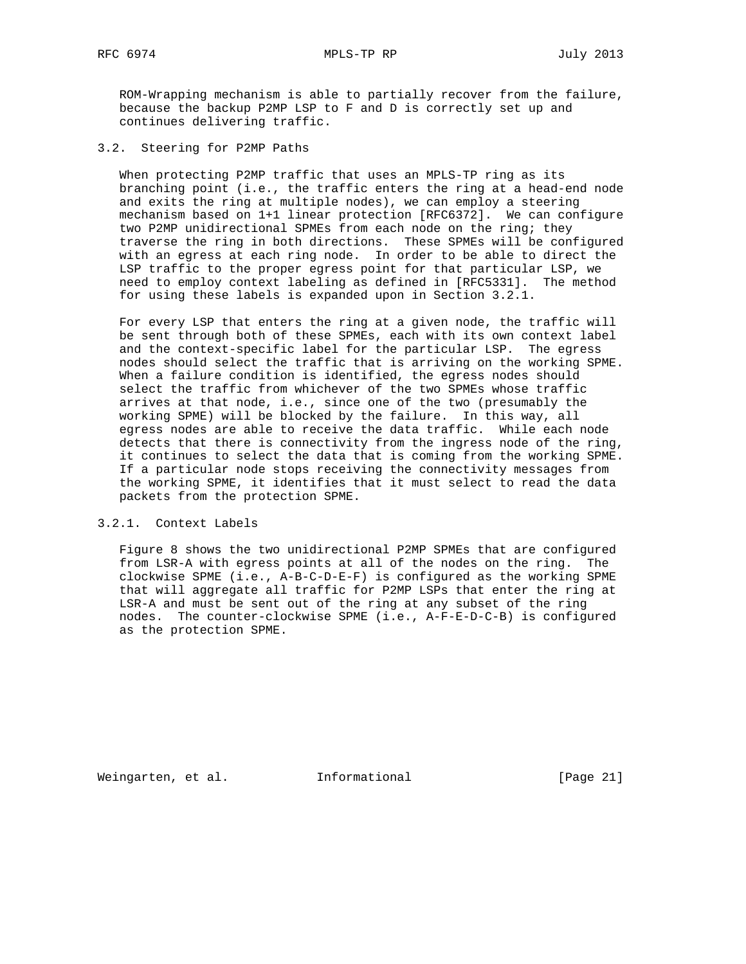ROM-Wrapping mechanism is able to partially recover from the failure, because the backup P2MP LSP to F and D is correctly set up and continues delivering traffic.

3.2. Steering for P2MP Paths

 When protecting P2MP traffic that uses an MPLS-TP ring as its branching point (i.e., the traffic enters the ring at a head-end node and exits the ring at multiple nodes), we can employ a steering mechanism based on 1+1 linear protection [RFC6372]. We can configure two P2MP unidirectional SPMEs from each node on the ring; they traverse the ring in both directions. These SPMEs will be configured with an egress at each ring node. In order to be able to direct the LSP traffic to the proper egress point for that particular LSP, we need to employ context labeling as defined in [RFC5331]. The method for using these labels is expanded upon in Section 3.2.1.

 For every LSP that enters the ring at a given node, the traffic will be sent through both of these SPMEs, each with its own context label and the context-specific label for the particular LSP. The egress nodes should select the traffic that is arriving on the working SPME. When a failure condition is identified, the egress nodes should select the traffic from whichever of the two SPMEs whose traffic arrives at that node, i.e., since one of the two (presumably the working SPME) will be blocked by the failure. In this way, all egress nodes are able to receive the data traffic. While each node detects that there is connectivity from the ingress node of the ring, it continues to select the data that is coming from the working SPME. If a particular node stops receiving the connectivity messages from the working SPME, it identifies that it must select to read the data packets from the protection SPME.

# 3.2.1. Context Labels

 Figure 8 shows the two unidirectional P2MP SPMEs that are configured from LSR-A with egress points at all of the nodes on the ring. The clockwise SPME (i.e., A-B-C-D-E-F) is configured as the working SPME that will aggregate all traffic for P2MP LSPs that enter the ring at LSR-A and must be sent out of the ring at any subset of the ring nodes. The counter-clockwise SPME (i.e., A-F-E-D-C-B) is configured as the protection SPME.

Weingarten, et al. 1nformational 1999 [Page 21]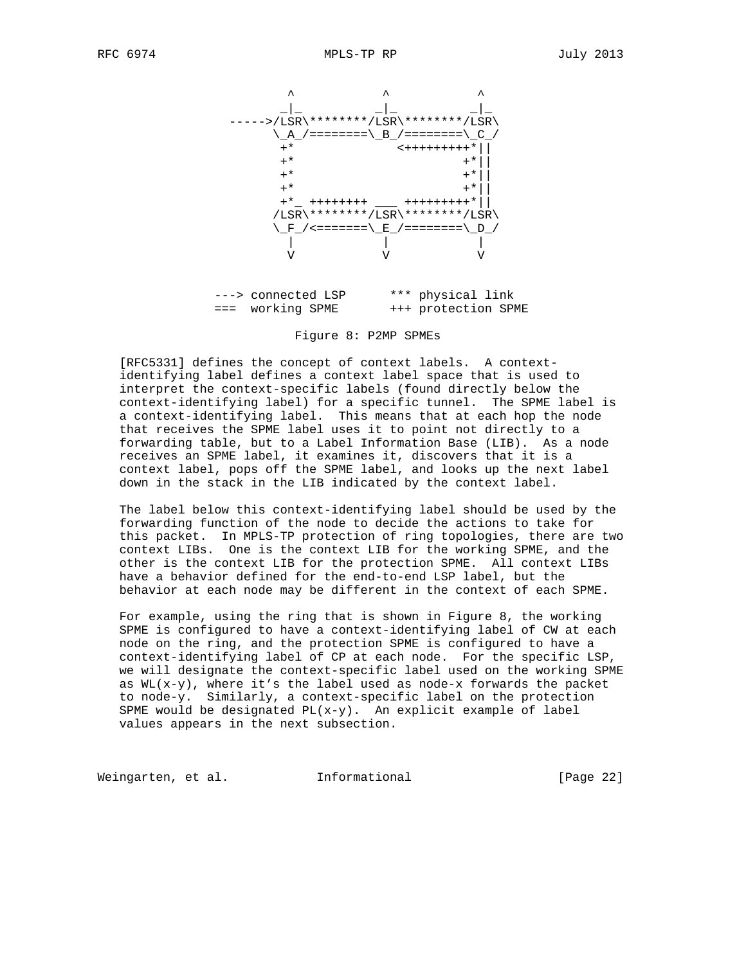

 ---> connected LSP \*\*\* physical link === working SPME +++ protection SPME

Figure 8: P2MP SPMEs

 [RFC5331] defines the concept of context labels. A context identifying label defines a context label space that is used to interpret the context-specific labels (found directly below the context-identifying label) for a specific tunnel. The SPME label is a context-identifying label. This means that at each hop the node that receives the SPME label uses it to point not directly to a forwarding table, but to a Label Information Base (LIB). As a node receives an SPME label, it examines it, discovers that it is a context label, pops off the SPME label, and looks up the next label down in the stack in the LIB indicated by the context label.

 The label below this context-identifying label should be used by the forwarding function of the node to decide the actions to take for this packet. In MPLS-TP protection of ring topologies, there are two context LIBs. One is the context LIB for the working SPME, and the other is the context LIB for the protection SPME. All context LIBs have a behavior defined for the end-to-end LSP label, but the behavior at each node may be different in the context of each SPME.

 For example, using the ring that is shown in Figure 8, the working SPME is configured to have a context-identifying label of CW at each node on the ring, and the protection SPME is configured to have a context-identifying label of CP at each node. For the specific LSP, we will designate the context-specific label used on the working SPME as  $WL(x-y)$ , where it's the label used as node-x forwards the packet to node-y. Similarly, a context-specific label on the protection SPME would be designated  $PL(x-y)$ . An explicit example of label values appears in the next subsection.

Weingarten, et al. 1nformational 1999 [Page 22]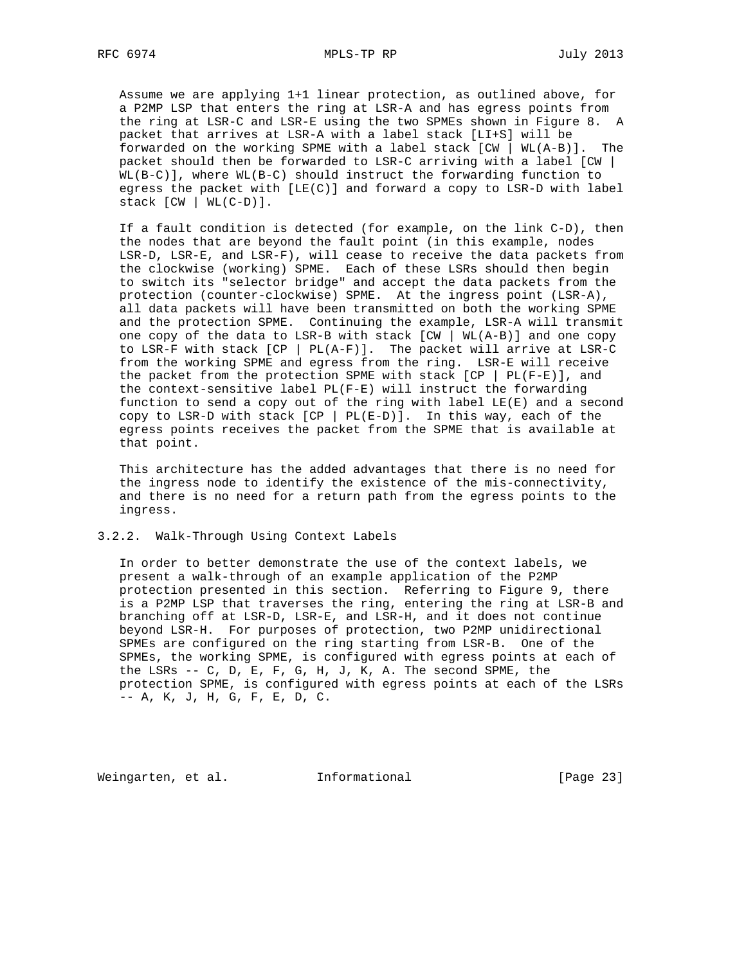Assume we are applying 1+1 linear protection, as outlined above, for a P2MP LSP that enters the ring at LSR-A and has egress points from the ring at LSR-C and LSR-E using the two SPMEs shown in Figure 8. A packet that arrives at LSR-A with a label stack [LI+S] will be forwarded on the working SPME with a label stack [CW | WL(A-B)]. The packet should then be forwarded to LSR-C arriving with a label [CW | WL(B-C)], where WL(B-C) should instruct the forwarding function to egress the packet with  $[LE(C)]$  and forward a copy to LSR-D with label stack  $[CW | WL(C-D)].$ 

 If a fault condition is detected (for example, on the link C-D), then the nodes that are beyond the fault point (in this example, nodes LSR-D, LSR-E, and LSR-F), will cease to receive the data packets from the clockwise (working) SPME. Each of these LSRs should then begin to switch its "selector bridge" and accept the data packets from the protection (counter-clockwise) SPME. At the ingress point (LSR-A), all data packets will have been transmitted on both the working SPME and the protection SPME. Continuing the example, LSR-A will transmit one copy of the data to LSR-B with stack [CW | WL(A-B)] and one copy to LSR-F with stack  $[CP | PL(A-F)]$ . The packet will arrive at LSR-C from the working SPME and egress from the ring. LSR-E will receive the packet from the protection SPME with stack  $[CP | PL(F-E)]$ , and the context-sensitive label PL(F-E) will instruct the forwarding function to send a copy out of the ring with label LE(E) and a second copy to LSR-D with stack  $[CP | PL(E-D)]$ . In this way, each of the egress points receives the packet from the SPME that is available at that point.

 This architecture has the added advantages that there is no need for the ingress node to identify the existence of the mis-connectivity, and there is no need for a return path from the egress points to the ingress.

## 3.2.2. Walk-Through Using Context Labels

 In order to better demonstrate the use of the context labels, we present a walk-through of an example application of the P2MP protection presented in this section. Referring to Figure 9, there is a P2MP LSP that traverses the ring, entering the ring at LSR-B and branching off at LSR-D, LSR-E, and LSR-H, and it does not continue beyond LSR-H. For purposes of protection, two P2MP unidirectional SPMEs are configured on the ring starting from LSR-B. One of the SPMEs, the working SPME, is configured with egress points at each of the LSRs -- C, D, E, F, G, H, J, K, A. The second SPME, the protection SPME, is configured with egress points at each of the LSRs -- A, K, J, H, G, F, E, D, C.

Weingarten, et al. 1nformational [Page 23]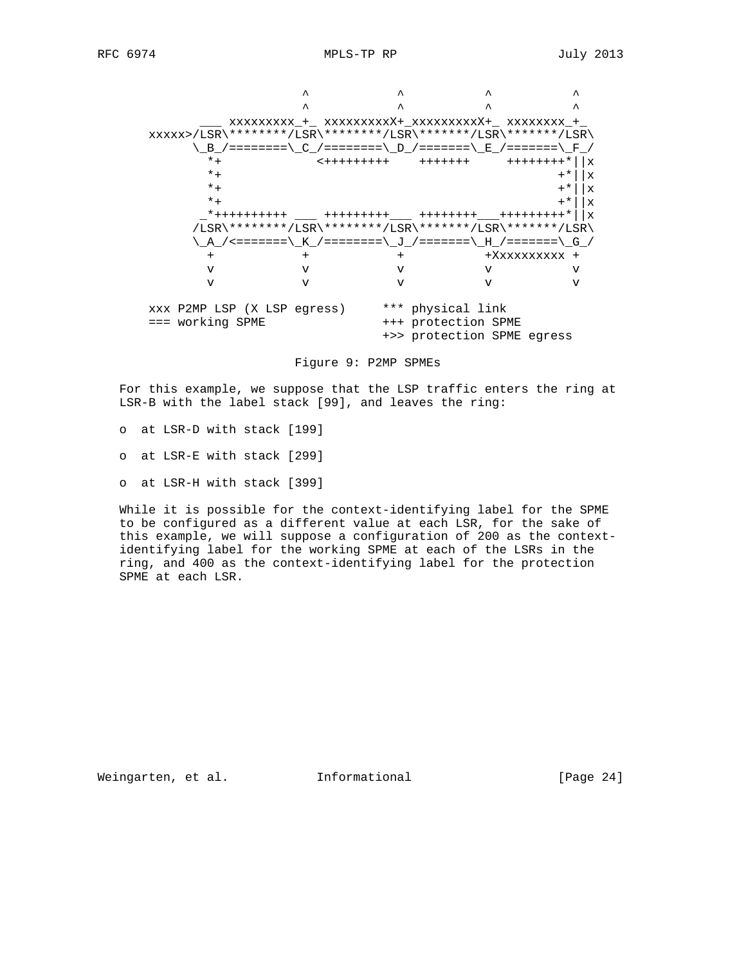

Figure 9: P2MP SPMEs

 For this example, we suppose that the LSP traffic enters the ring at LSR-B with the label stack [99], and leaves the ring:

- o at LSR-D with stack [199]
- o at LSR-E with stack [299]
- o at LSR-H with stack [399]

 While it is possible for the context-identifying label for the SPME to be configured as a different value at each LSR, for the sake of this example, we will suppose a configuration of 200 as the context identifying label for the working SPME at each of the LSRs in the ring, and 400 as the context-identifying label for the protection SPME at each LSR.

Weingarten, et al. 1nformational 1999 [Page 24]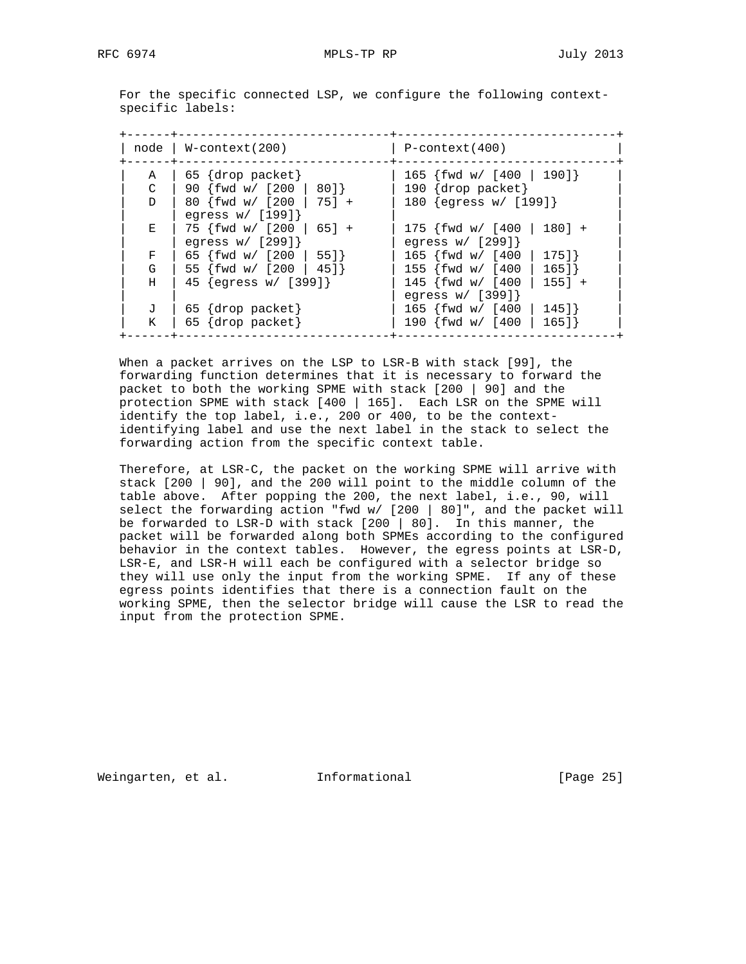For the specific connected LSP, we configure the following context specific labels:

|               | $node \mid W\text{-context}(200)$                 | P-context(400)                                    |
|---------------|---------------------------------------------------|---------------------------------------------------|
| A             | $65 \{drop packet\}$                              | 165 {fwd w/ [400   190]}                          |
| $\mathcal{C}$ | 90 $\{fwd w / [200   80]\}$                       | 190 $\{drop packet\}$                             |
| D             | 80 {fwd w/ [200   75] +<br>egress $w / [199]$     | 180 $\{egress w / [199]\}$                        |
| Е             | $75 \{fwd w / [200   65] +$<br>egress $w / [299]$ | $175$ {fwd w/ [400   180] +<br>egress $w / [299]$ |
| F             | 65 $\{fwd w / [200   55]\}$                       | 165 {fwd w/ [400   175]}                          |
| G             | 55 {fwd w/ [200   45]}                            | 155 $\{fwd w / [400   165]\}$                     |
| H             | 45 $\{eqress w / [399]\}$                         | $145$ {fwd w/ [400   155] +<br>egress $w / [399]$ |
| J             | $65 \{drop packet\}$                              | 165 $fwd w / [400]$<br>145]                       |
| K.            | 65 {drop packet}                                  | 190 {fwd w/ [400<br>165]                          |

 When a packet arrives on the LSP to LSR-B with stack [99], the forwarding function determines that it is necessary to forward the packet to both the working SPME with stack [200 | 90] and the protection SPME with stack [400 | 165]. Each LSR on the SPME will identify the top label, i.e., 200 or 400, to be the context identifying label and use the next label in the stack to select the forwarding action from the specific context table.

 Therefore, at LSR-C, the packet on the working SPME will arrive with stack [200 | 90], and the 200 will point to the middle column of the table above. After popping the 200, the next label, i.e., 90, will select the forwarding action "fwd w/  $[200 | 80]$ ", and the packet will be forwarded to LSR-D with stack [200 | 80]. In this manner, the packet will be forwarded along both SPMEs according to the configured behavior in the context tables. However, the egress points at LSR-D, LSR-E, and LSR-H will each be configured with a selector bridge so they will use only the input from the working SPME. If any of these egress points identifies that there is a connection fault on the working SPME, then the selector bridge will cause the LSR to read the input from the protection SPME.

Weingarten, et al. Informational [Page 25]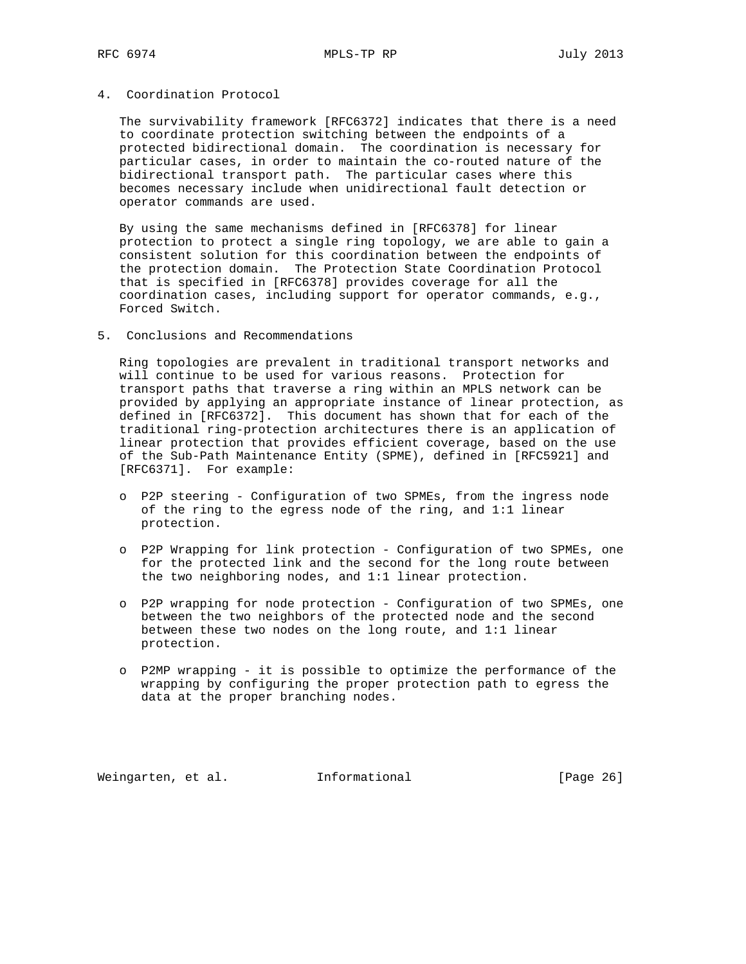## 4. Coordination Protocol

 The survivability framework [RFC6372] indicates that there is a need to coordinate protection switching between the endpoints of a protected bidirectional domain. The coordination is necessary for particular cases, in order to maintain the co-routed nature of the bidirectional transport path. The particular cases where this becomes necessary include when unidirectional fault detection or operator commands are used.

 By using the same mechanisms defined in [RFC6378] for linear protection to protect a single ring topology, we are able to gain a consistent solution for this coordination between the endpoints of the protection domain. The Protection State Coordination Protocol that is specified in [RFC6378] provides coverage for all the coordination cases, including support for operator commands, e.g., Forced Switch.

# 5. Conclusions and Recommendations

 Ring topologies are prevalent in traditional transport networks and will continue to be used for various reasons. Protection for transport paths that traverse a ring within an MPLS network can be provided by applying an appropriate instance of linear protection, as defined in [RFC6372]. This document has shown that for each of the traditional ring-protection architectures there is an application of linear protection that provides efficient coverage, based on the use of the Sub-Path Maintenance Entity (SPME), defined in [RFC5921] and [RFC6371]. For example:

- o P2P steering Configuration of two SPMEs, from the ingress node of the ring to the egress node of the ring, and 1:1 linear protection.
- o P2P Wrapping for link protection Configuration of two SPMEs, one for the protected link and the second for the long route between the two neighboring nodes, and 1:1 linear protection.
- o P2P wrapping for node protection Configuration of two SPMEs, one between the two neighbors of the protected node and the second between these two nodes on the long route, and 1:1 linear protection.
- o P2MP wrapping it is possible to optimize the performance of the wrapping by configuring the proper protection path to egress the data at the proper branching nodes.

Weingarten, et al. 1nformational 1999 [Page 26]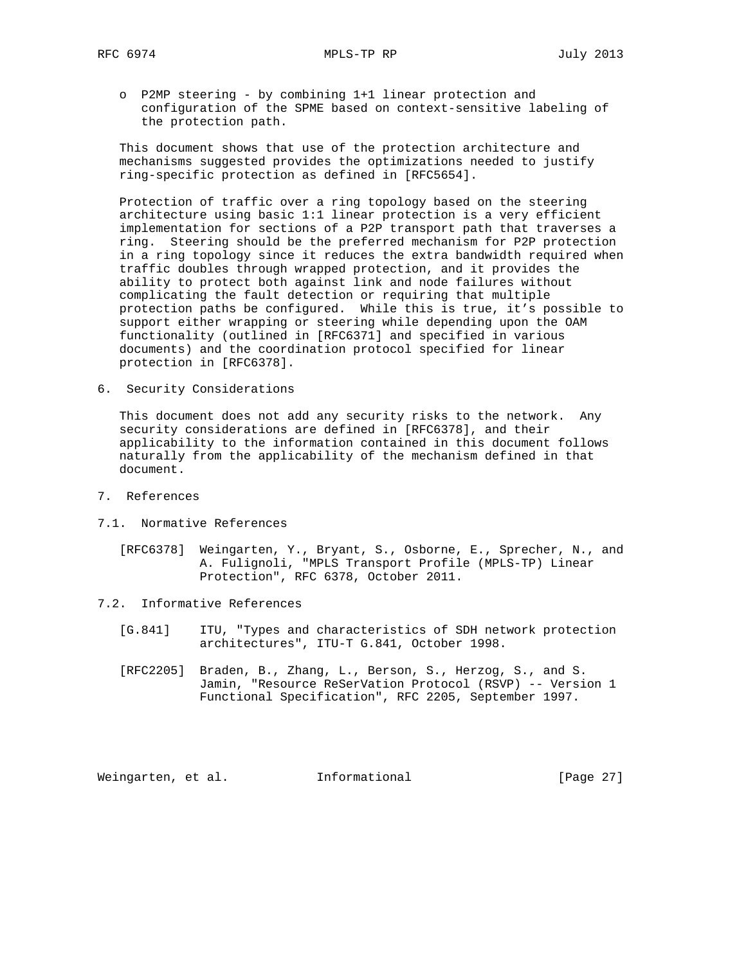o P2MP steering - by combining 1+1 linear protection and configuration of the SPME based on context-sensitive labeling of the protection path.

 This document shows that use of the protection architecture and mechanisms suggested provides the optimizations needed to justify ring-specific protection as defined in [RFC5654].

 Protection of traffic over a ring topology based on the steering architecture using basic 1:1 linear protection is a very efficient implementation for sections of a P2P transport path that traverses a ring. Steering should be the preferred mechanism for P2P protection in a ring topology since it reduces the extra bandwidth required when traffic doubles through wrapped protection, and it provides the ability to protect both against link and node failures without complicating the fault detection or requiring that multiple protection paths be configured. While this is true, it's possible to support either wrapping or steering while depending upon the OAM functionality (outlined in [RFC6371] and specified in various documents) and the coordination protocol specified for linear protection in [RFC6378].

6. Security Considerations

 This document does not add any security risks to the network. Any security considerations are defined in [RFC6378], and their applicability to the information contained in this document follows naturally from the applicability of the mechanism defined in that document.

- 7. References
- 7.1. Normative References
	- [RFC6378] Weingarten, Y., Bryant, S., Osborne, E., Sprecher, N., and A. Fulignoli, "MPLS Transport Profile (MPLS-TP) Linear Protection", RFC 6378, October 2011.
- 7.2. Informative References
	- [G.841] ITU, "Types and characteristics of SDH network protection architectures", ITU-T G.841, October 1998.
	- [RFC2205] Braden, B., Zhang, L., Berson, S., Herzog, S., and S. Jamin, "Resource ReSerVation Protocol (RSVP) -- Version 1 Functional Specification", RFC 2205, September 1997.

Weingarten, et al. Informational [Page 27]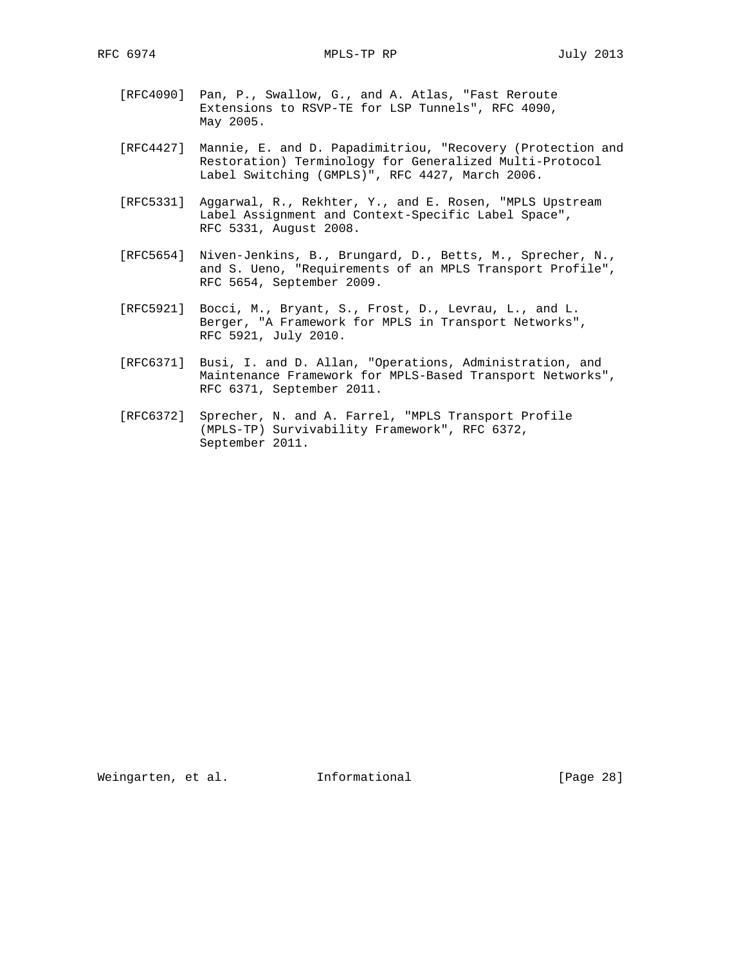- [RFC4090] Pan, P., Swallow, G., and A. Atlas, "Fast Reroute Extensions to RSVP-TE for LSP Tunnels", RFC 4090, May 2005.
- [RFC4427] Mannie, E. and D. Papadimitriou, "Recovery (Protection and Restoration) Terminology for Generalized Multi-Protocol Label Switching (GMPLS)", RFC 4427, March 2006.
- [RFC5331] Aggarwal, R., Rekhter, Y., and E. Rosen, "MPLS Upstream Label Assignment and Context-Specific Label Space", RFC 5331, August 2008.
- [RFC5654] Niven-Jenkins, B., Brungard, D., Betts, M., Sprecher, N., and S. Ueno, "Requirements of an MPLS Transport Profile", RFC 5654, September 2009.
- [RFC5921] Bocci, M., Bryant, S., Frost, D., Levrau, L., and L. Berger, "A Framework for MPLS in Transport Networks", RFC 5921, July 2010.
- [RFC6371] Busi, I. and D. Allan, "Operations, Administration, and Maintenance Framework for MPLS-Based Transport Networks", RFC 6371, September 2011.
- [RFC6372] Sprecher, N. and A. Farrel, "MPLS Transport Profile (MPLS-TP) Survivability Framework", RFC 6372, September 2011.

Weingarten, et al. 1nformational 1999 [Page 28]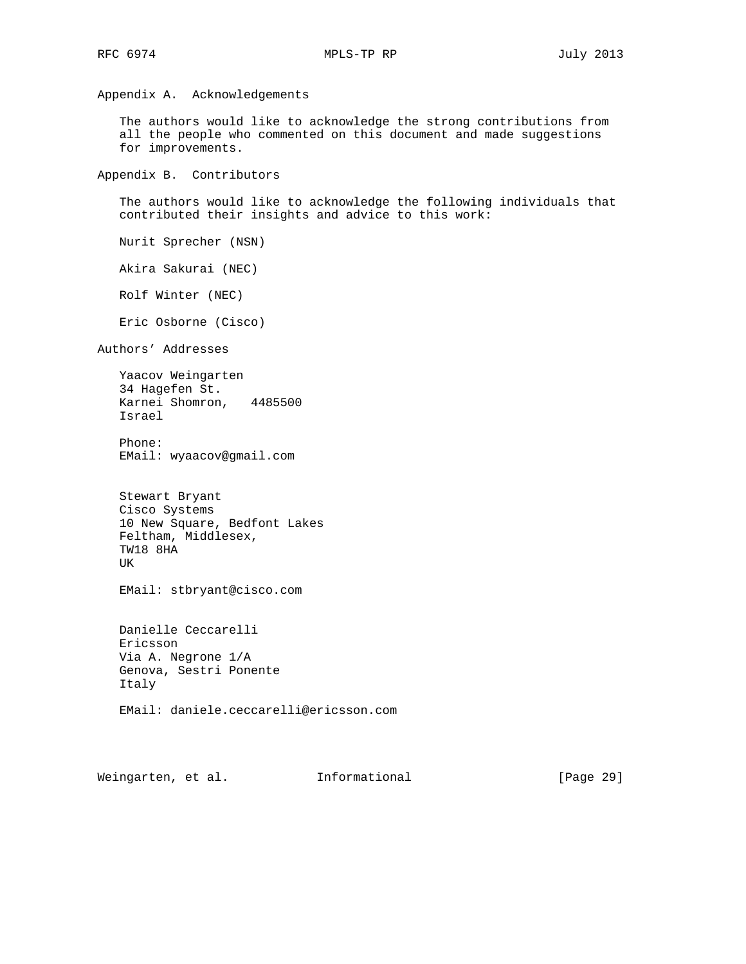Appendix A. Acknowledgements

 The authors would like to acknowledge the strong contributions from all the people who commented on this document and made suggestions for improvements.

Appendix B. Contributors

 The authors would like to acknowledge the following individuals that contributed their insights and advice to this work:

Nurit Sprecher (NSN)

Akira Sakurai (NEC)

Rolf Winter (NEC)

Eric Osborne (Cisco)

Authors' Addresses

 Yaacov Weingarten 34 Hagefen St. Karnei Shomron, 4485500 Israel

 Phone: EMail: wyaacov@gmail.com

 Stewart Bryant Cisco Systems 10 New Square, Bedfont Lakes Feltham, Middlesex, TW18 8HA UK

EMail: stbryant@cisco.com

 Danielle Ceccarelli Ericsson Via A. Negrone 1/A Genova, Sestri Ponente Italy

EMail: daniele.ceccarelli@ericsson.com

Weingarten, et al. 1nformational [Page 29]